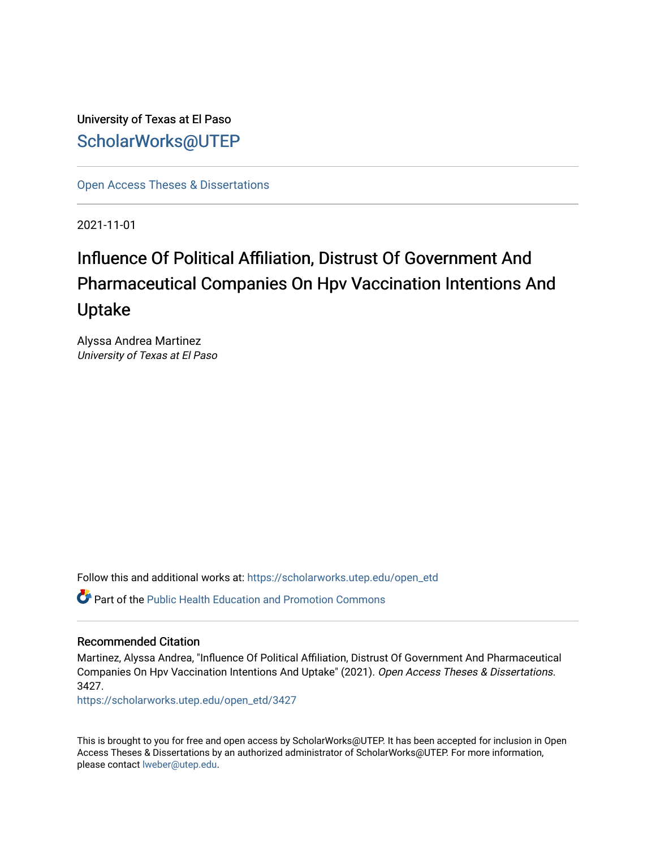University of Texas at El Paso [ScholarWorks@UTEP](https://scholarworks.utep.edu/)

[Open Access Theses & Dissertations](https://scholarworks.utep.edu/open_etd) 

2021-11-01

# Influence Of Political Affiliation, Distrust Of Government And Pharmaceutical Companies On Hpv Vaccination Intentions And Uptake

Alyssa Andrea Martinez University of Texas at El Paso

Follow this and additional works at: [https://scholarworks.utep.edu/open\\_etd](https://scholarworks.utep.edu/open_etd?utm_source=scholarworks.utep.edu%2Fopen_etd%2F3427&utm_medium=PDF&utm_campaign=PDFCoverPages)

**Part of the Public Health Education and Promotion Commons** 

#### Recommended Citation

Martinez, Alyssa Andrea, "Influence Of Political Affiliation, Distrust Of Government And Pharmaceutical Companies On Hpv Vaccination Intentions And Uptake" (2021). Open Access Theses & Dissertations. 3427.

[https://scholarworks.utep.edu/open\\_etd/3427](https://scholarworks.utep.edu/open_etd/3427?utm_source=scholarworks.utep.edu%2Fopen_etd%2F3427&utm_medium=PDF&utm_campaign=PDFCoverPages) 

This is brought to you for free and open access by ScholarWorks@UTEP. It has been accepted for inclusion in Open Access Theses & Dissertations by an authorized administrator of ScholarWorks@UTEP. For more information, please contact [lweber@utep.edu.](mailto:lweber@utep.edu)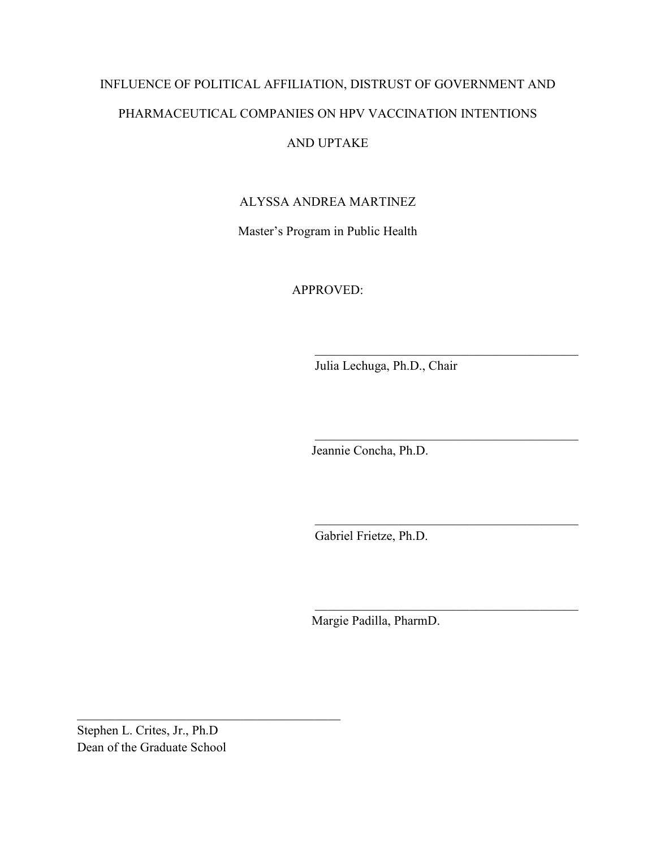# INFLUENCE OF POLITICAL AFFILIATION, DISTRUST OF GOVERNMENT AND PHARMACEUTICAL COMPANIES ON HPV VACCINATION INTENTIONS

### AND UPTAKE

#### ALYSSA ANDREA MARTINEZ

Master's Program in Public Health

APPROVED:

Julia Lechuga, Ph.D., Chair

 $\_$  . The contribution of the contribution of  $\mathcal{L}_\mathcal{L}$ 

 $\_$  . The contribution of the contribution of  $\mathcal{L}_\mathcal{L}$ 

 $\_$  . The contribution of the contribution of  $\mathcal{L}_\mathcal{L}$ 

 $\_$  . The contribution of the contribution of  $\mathcal{L}_\mathcal{L}$ 

Jeannie Concha, Ph.D.

Gabriel Frietze, Ph.D.

Margie Padilla, PharmD.

Stephen L. Crites, Jr., Ph.D Dean of the Graduate School

 $\_$  . The contribution of the contribution of  $\mathcal{L}_\mathcal{L}$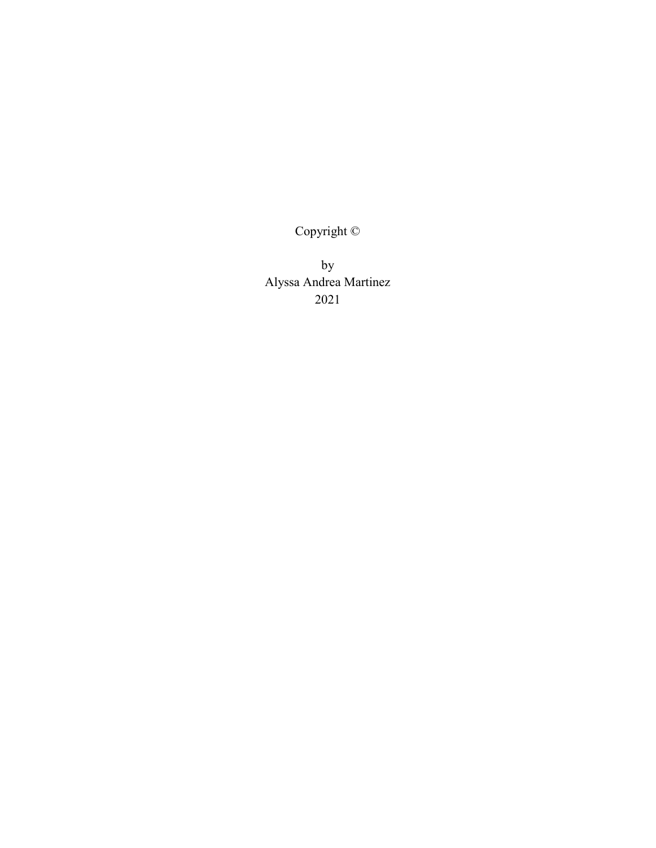Copyright ©

by Alyssa Andrea Martinez 2021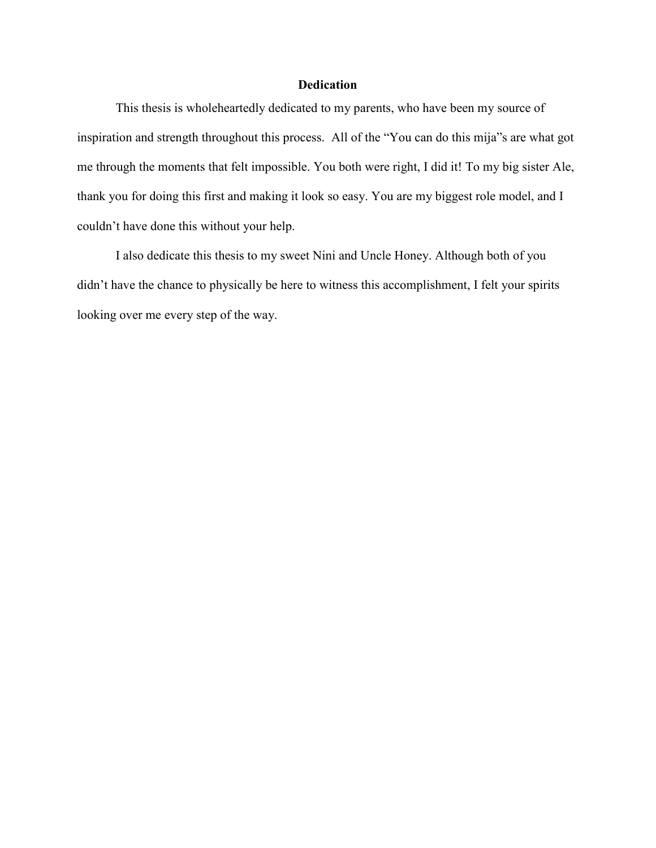#### **Dedication**

This thesis is wholeheartedly dedicated to my parents, who have been my source of inspiration and strength throughout this process. All of the "You can do this mija"s are what got me through the moments that felt impossible. You both were right, I did it! To my big sister Ale, thank you for doing this first and making it look so easy. You are my biggest role model, and I couldn't have done this without your help.

I also dedicate this thesis to my sweet Nini and Uncle Honey. Although both of you didn't have the chance to physically be here to witness this accomplishment, I felt your spirits looking over me every step of the way.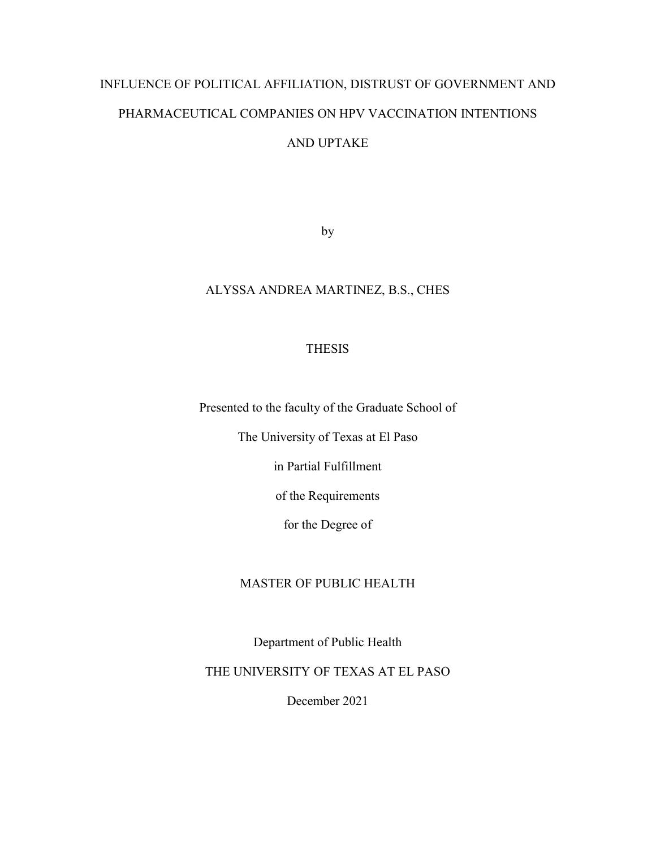# INFLUENCE OF POLITICAL AFFILIATION, DISTRUST OF GOVERNMENT AND PHARMACEUTICAL COMPANIES ON HPV VACCINATION INTENTIONS AND UPTAKE

by

#### ALYSSA ANDREA MARTINEZ, B.S., CHES

#### THESIS

Presented to the faculty of the Graduate School of

The University of Texas at El Paso

in Partial Fulfillment

of the Requirements

for the Degree of

#### MASTER OF PUBLIC HEALTH

Department of Public Health

THE UNIVERSITY OF TEXAS AT EL PASO

December 2021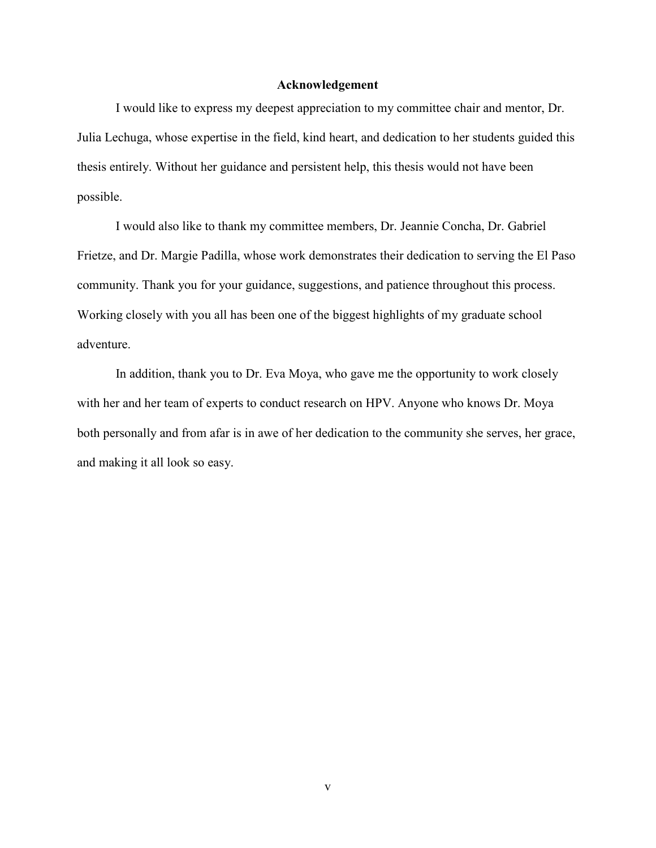#### **Acknowledgement**

I would like to express my deepest appreciation to my committee chair and mentor, Dr. Julia Lechuga, whose expertise in the field, kind heart, and dedication to her students guided this thesis entirely. Without her guidance and persistent help, this thesis would not have been possible.

I would also like to thank my committee members, Dr. Jeannie Concha, Dr. Gabriel Frietze, and Dr. Margie Padilla, whose work demonstrates their dedication to serving the El Paso community. Thank you for your guidance, suggestions, and patience throughout this process. Working closely with you all has been one of the biggest highlights of my graduate school adventure.

In addition, thank you to Dr. Eva Moya, who gave me the opportunity to work closely with her and her team of experts to conduct research on HPV. Anyone who knows Dr. Moya both personally and from afar is in awe of her dedication to the community she serves, her grace, and making it all look so easy.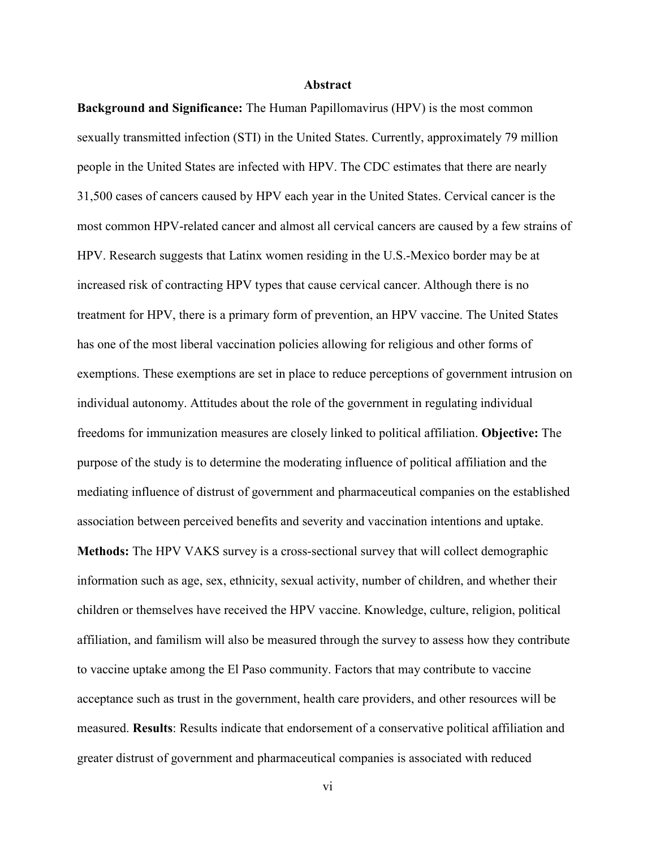#### **Abstract**

**Background and Significance:** The Human Papillomavirus (HPV) is the most common sexually transmitted infection (STI) in the United States. Currently, approximately 79 million people in the United States are infected with HPV. The CDC estimates that there are nearly 31,500 cases of cancers caused by HPV each year in the United States. Cervical cancer is the most common HPV-related cancer and almost all cervical cancers are caused by a few strains of HPV. Research suggests that Latinx women residing in the U.S.-Mexico border may be at increased risk of contracting HPV types that cause cervical cancer. Although there is no treatment for HPV, there is a primary form of prevention, an HPV vaccine. The United States has one of the most liberal vaccination policies allowing for religious and other forms of exemptions. These exemptions are set in place to reduce perceptions of government intrusion on individual autonomy. Attitudes about the role of the government in regulating individual freedoms for immunization measures are closely linked to political affiliation. **Objective:** The purpose of the study is to determine the moderating influence of political affiliation and the mediating influence of distrust of government and pharmaceutical companies on the established association between perceived benefits and severity and vaccination intentions and uptake.

**Methods:** The HPV VAKS survey is a cross-sectional survey that will collect demographic information such as age, sex, ethnicity, sexual activity, number of children, and whether their children or themselves have received the HPV vaccine. Knowledge, culture, religion, political affiliation, and familism will also be measured through the survey to assess how they contribute to vaccine uptake among the El Paso community. Factors that may contribute to vaccine acceptance such as trust in the government, health care providers, and other resources will be measured. **Results**: Results indicate that endorsement of a conservative political affiliation and greater distrust of government and pharmaceutical companies is associated with reduced

vi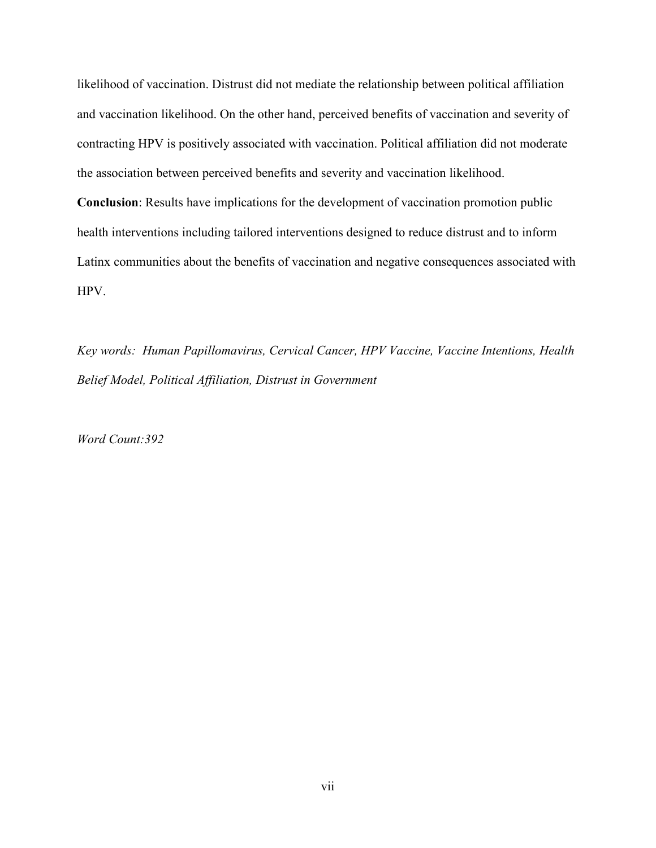likelihood of vaccination. Distrust did not mediate the relationship between political affiliation and vaccination likelihood. On the other hand, perceived benefits of vaccination and severity of contracting HPV is positively associated with vaccination. Political affiliation did not moderate the association between perceived benefits and severity and vaccination likelihood.

**Conclusion**: Results have implications for the development of vaccination promotion public health interventions including tailored interventions designed to reduce distrust and to inform Latinx communities about the benefits of vaccination and negative consequences associated with HPV.

*Key words: Human Papillomavirus, Cervical Cancer, HPV Vaccine, Vaccine Intentions, Health Belief Model, Political Affiliation, Distrust in Government* 

*Word Count:392*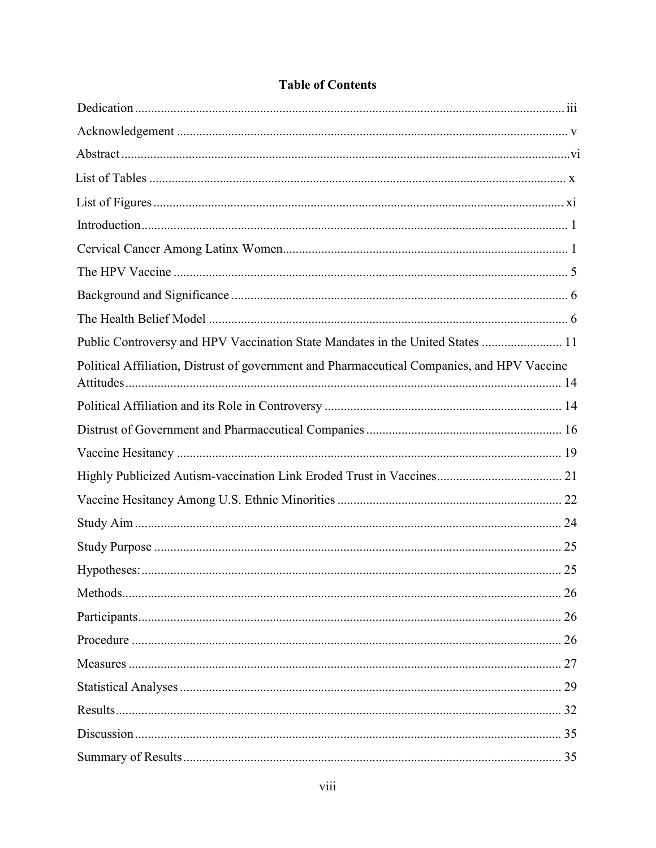| Public Controversy and HPV Vaccination State Mandates in the United States  11              |  |
|---------------------------------------------------------------------------------------------|--|
| Political Affiliation, Distrust of government and Pharmaceutical Companies, and HPV Vaccine |  |
|                                                                                             |  |
|                                                                                             |  |
|                                                                                             |  |
|                                                                                             |  |
|                                                                                             |  |
|                                                                                             |  |
|                                                                                             |  |
|                                                                                             |  |
|                                                                                             |  |
|                                                                                             |  |
|                                                                                             |  |
|                                                                                             |  |
|                                                                                             |  |
|                                                                                             |  |
|                                                                                             |  |
|                                                                                             |  |

#### **Table of Contents**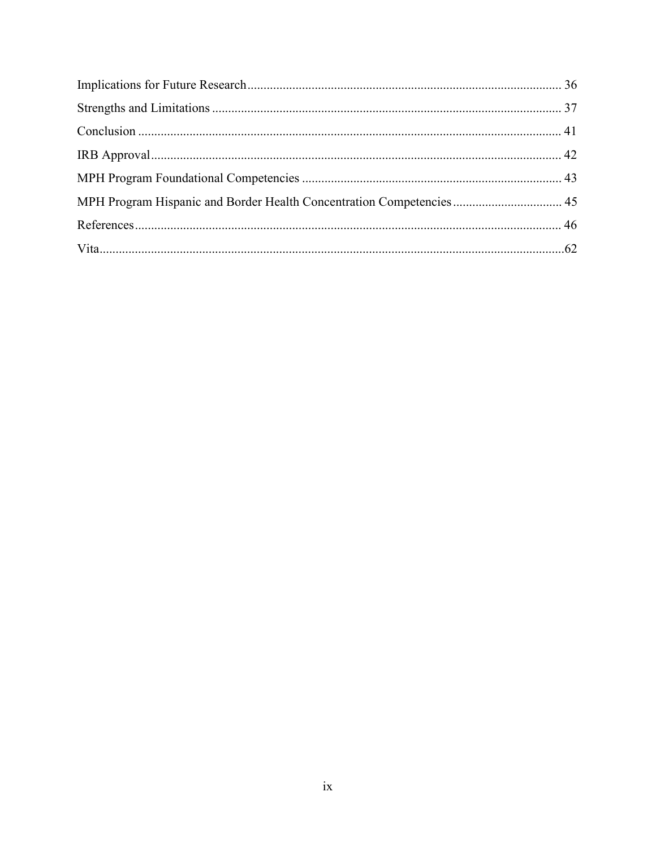| MPH Program Hispanic and Border Health Concentration Competencies  45 |  |
|-----------------------------------------------------------------------|--|
|                                                                       |  |
|                                                                       |  |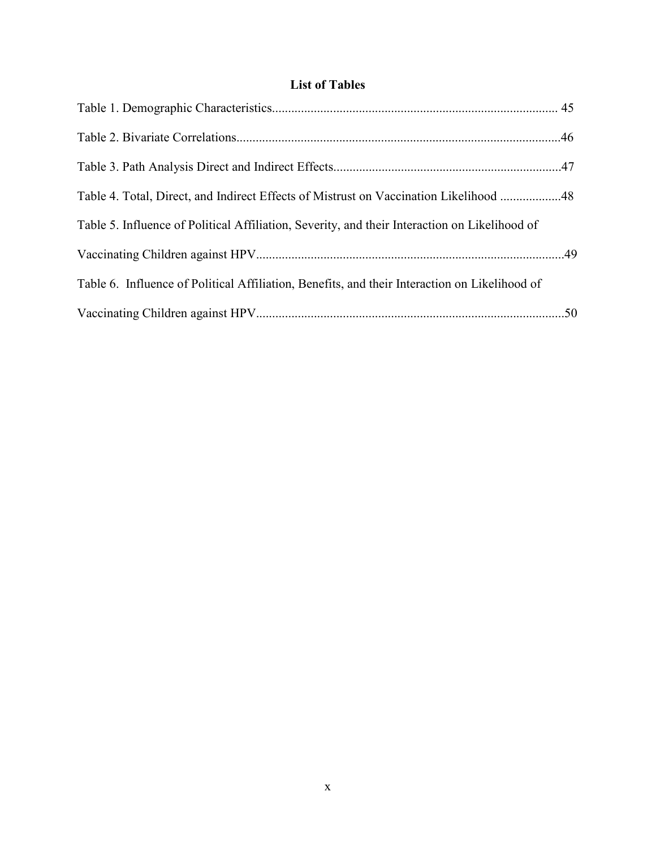#### **List of Tables**

| Table 4. Total, Direct, and Indirect Effects of Mistrust on Vaccination Likelihood 48         |  |
|-----------------------------------------------------------------------------------------------|--|
| Table 5. Influence of Political Affiliation, Severity, and their Interaction on Likelihood of |  |
|                                                                                               |  |
| Table 6. Influence of Political Affiliation, Benefits, and their Interaction on Likelihood of |  |
|                                                                                               |  |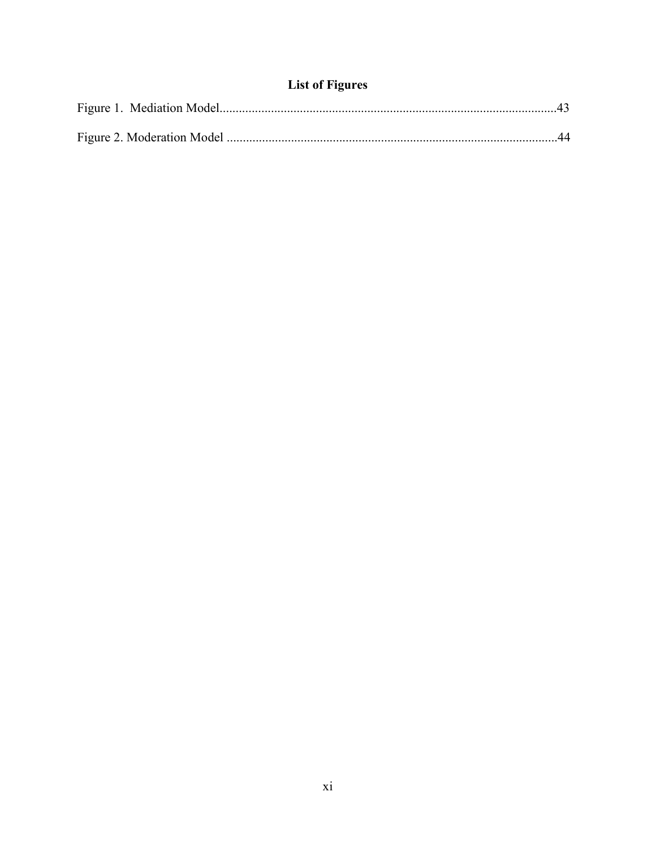### **List of Figures**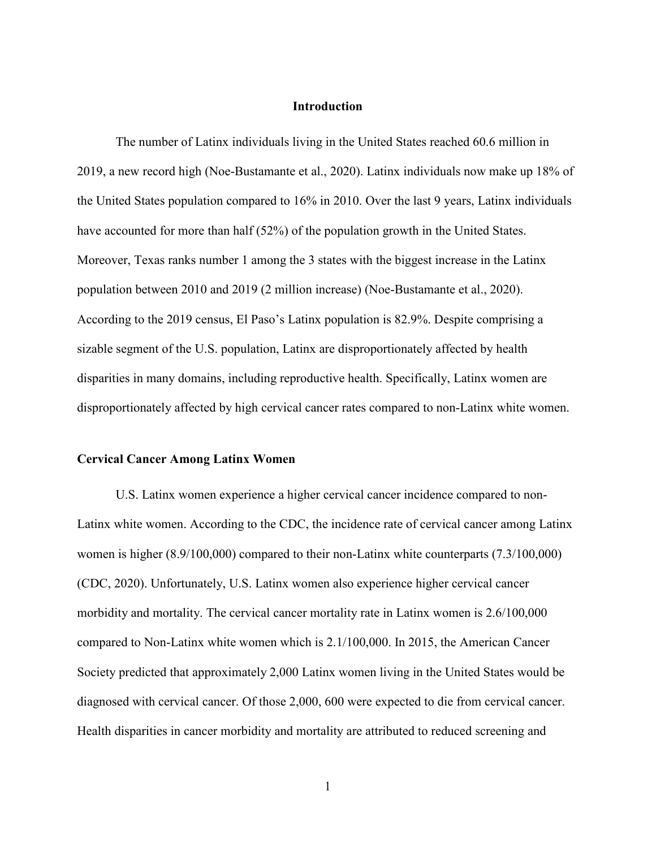#### **Introduction**

The number of Latinx individuals living in the United States reached 60.6 million in 2019, a new record high (Noe-Bustamante et al., 2020). Latinx individuals now make up 18% of the United States population compared to 16% in 2010. Over the last 9 years, Latinx individuals have accounted for more than half (52%) of the population growth in the United States. Moreover, Texas ranks number 1 among the 3 states with the biggest increase in the Latinx population between 2010 and 2019 (2 million increase) (Noe-Bustamante et al., 2020). According to the 2019 census, El Paso's Latinx population is 82.9%. Despite comprising a sizable segment of the U.S. population, Latinx are disproportionately affected by health disparities in many domains, including reproductive health. Specifically, Latinx women are disproportionately affected by high cervical cancer rates compared to non-Latinx white women.

#### **Cervical Cancer Among Latinx Women**

U.S. Latinx women experience a higher cervical cancer incidence compared to non-Latinx white women. According to the CDC, the incidence rate of cervical cancer among Latinx women is higher (8.9/100,000) compared to their non-Latinx white counterparts (7.3/100,000) (CDC, 2020). Unfortunately, U.S. Latinx women also experience higher cervical cancer morbidity and mortality. The cervical cancer mortality rate in Latinx women is 2.6/100,000 compared to Non-Latinx white women which is 2.1/100,000. In 2015, the American Cancer Society predicted that approximately 2,000 Latinx women living in the United States would be diagnosed with cervical cancer. Of those 2,000, 600 were expected to die from cervical cancer. Health disparities in cancer morbidity and mortality are attributed to reduced screening and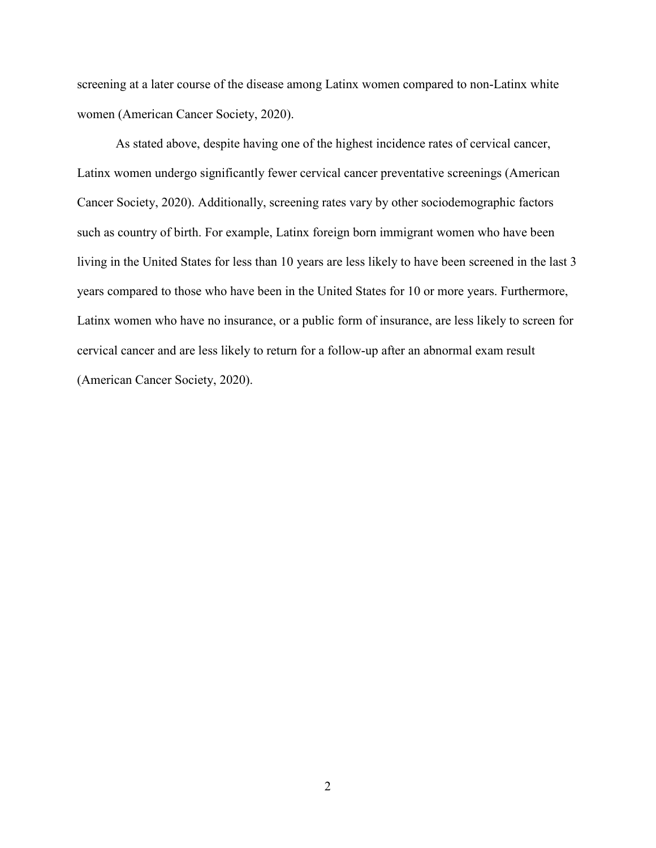screening at a later course of the disease among Latinx women compared to non-Latinx white women (American Cancer Society, 2020).

As stated above, despite having one of the highest incidence rates of cervical cancer, Latinx women undergo significantly fewer cervical cancer preventative screenings (American Cancer Society, 2020). Additionally, screening rates vary by other sociodemographic factors such as country of birth. For example, Latinx foreign born immigrant women who have been living in the United States for less than 10 years are less likely to have been screened in the last 3 years compared to those who have been in the United States for 10 or more years. Furthermore, Latinx women who have no insurance, or a public form of insurance, are less likely to screen for cervical cancer and are less likely to return for a follow-up after an abnormal exam result (American Cancer Society, 2020).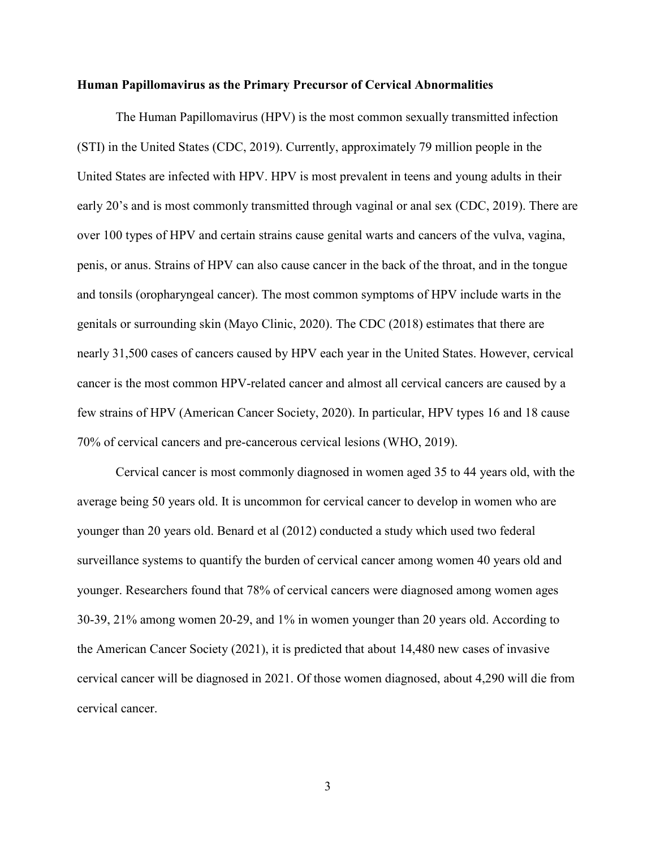#### **Human Papillomavirus as the Primary Precursor of Cervical Abnormalities**

The Human Papillomavirus (HPV) is the most common sexually transmitted infection (STI) in the United States (CDC, 2019). Currently, approximately 79 million people in the United States are infected with HPV. HPV is most prevalent in teens and young adults in their early 20's and is most commonly transmitted through vaginal or anal sex (CDC, 2019). There are over 100 types of HPV and certain strains cause genital warts and cancers of the vulva, vagina, penis, or anus. Strains of HPV can also cause cancer in the back of the throat, and in the tongue and tonsils (oropharyngeal cancer). The most common symptoms of HPV include warts in the genitals or surrounding skin (Mayo Clinic, 2020). The CDC (2018) estimates that there are nearly 31,500 cases of cancers caused by HPV each year in the United States. However, cervical cancer is the most common HPV-related cancer and almost all cervical cancers are caused by a few strains of HPV (American Cancer Society, 2020). In particular, HPV types 16 and 18 cause 70% of cervical cancers and pre-cancerous cervical lesions (WHO, 2019).

Cervical cancer is most commonly diagnosed in women aged 35 to 44 years old, with the average being 50 years old. It is uncommon for cervical cancer to develop in women who are younger than 20 years old. Benard et al (2012) conducted a study which used two federal surveillance systems to quantify the burden of cervical cancer among women 40 years old and younger. Researchers found that 78% of cervical cancers were diagnosed among women ages 30-39, 21% among women 20-29, and 1% in women younger than 20 years old. According to the American Cancer Society (2021), it is predicted that about 14,480 new cases of invasive cervical cancer will be diagnosed in 2021. Of those women diagnosed, about 4,290 will die from cervical cancer.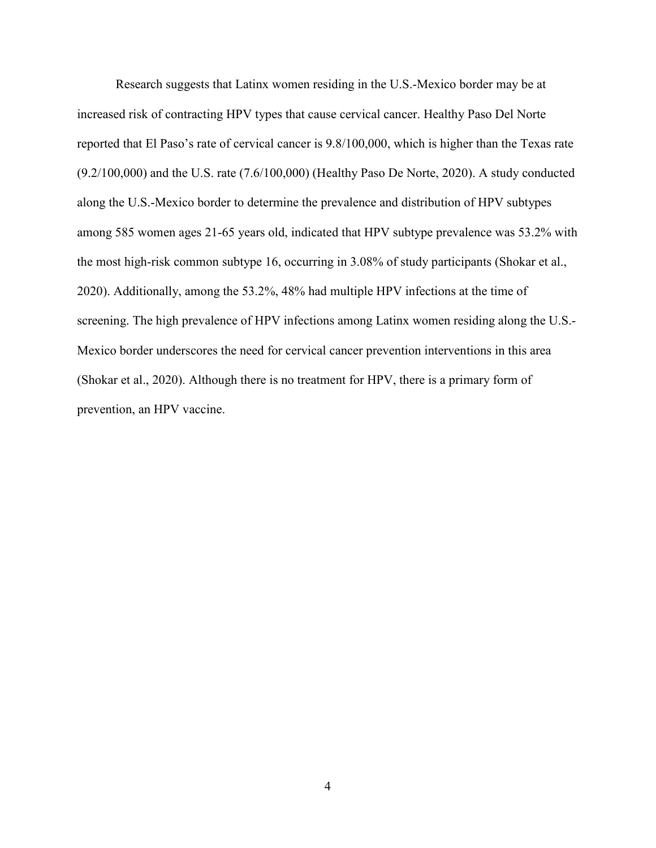Research suggests that Latinx women residing in the U.S.-Mexico border may be at increased risk of contracting HPV types that cause cervical cancer. Healthy Paso Del Norte reported that El Paso's rate of cervical cancer is 9.8/100,000, which is higher than the Texas rate (9.2/100,000) and the U.S. rate (7.6/100,000) (Healthy Paso De Norte, 2020). A study conducted along the U.S.-Mexico border to determine the prevalence and distribution of HPV subtypes among 585 women ages 21-65 years old, indicated that HPV subtype prevalence was 53.2% with the most high-risk common subtype 16, occurring in 3.08% of study participants (Shokar et al., 2020). Additionally, among the 53.2%, 48% had multiple HPV infections at the time of screening. The high prevalence of HPV infections among Latinx women residing along the U.S.- Mexico border underscores the need for cervical cancer prevention interventions in this area (Shokar et al., 2020). Although there is no treatment for HPV, there is a primary form of prevention, an HPV vaccine.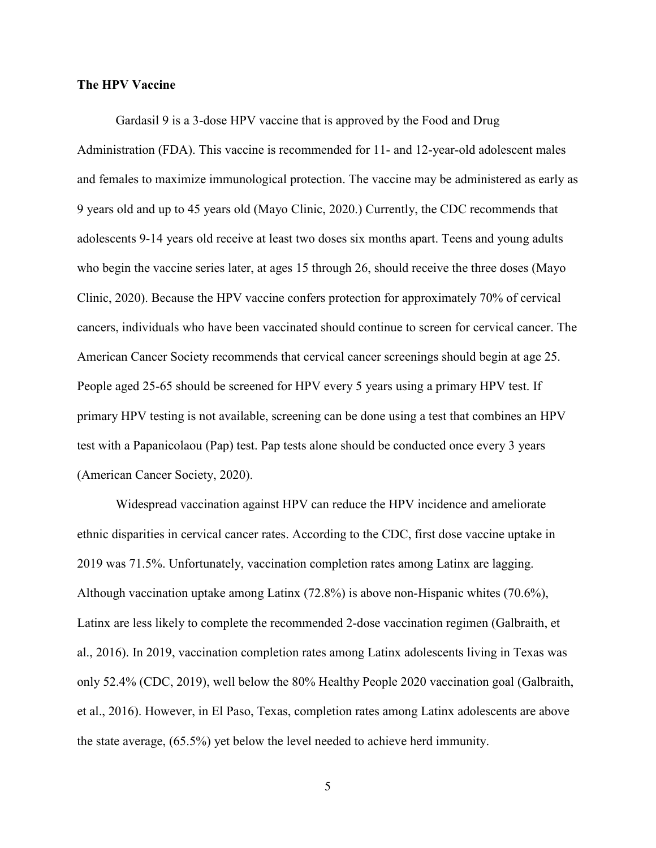#### **The HPV Vaccine**

Gardasil 9 is a 3-dose HPV vaccine that is approved by the Food and Drug Administration (FDA). This vaccine is recommended for 11- and 12-year-old adolescent males and females to maximize immunological protection. The vaccine may be administered as early as 9 years old and up to 45 years old (Mayo Clinic, 2020.) Currently, the CDC recommends that adolescents 9-14 years old receive at least two doses six months apart. Teens and young adults who begin the vaccine series later, at ages 15 through 26, should receive the three doses (Mayo Clinic, 2020). Because the HPV vaccine confers protection for approximately 70% of cervical cancers, individuals who have been vaccinated should continue to screen for cervical cancer. The American Cancer Society recommends that cervical cancer screenings should begin at age 25. People aged 25-65 should be screened for HPV every 5 years using a primary HPV test. If primary HPV testing is not available, screening can be done using a test that combines an HPV test with a Papanicolaou (Pap) test. Pap tests alone should be conducted once every 3 years (American Cancer Society, 2020).

Widespread vaccination against HPV can reduce the HPV incidence and ameliorate ethnic disparities in cervical cancer rates. According to the CDC, first dose vaccine uptake in 2019 was 71.5%. Unfortunately, vaccination completion rates among Latinx are lagging. Although vaccination uptake among Latinx (72.8%) is above non-Hispanic whites (70.6%), Latinx are less likely to complete the recommended 2-dose vaccination regimen (Galbraith, et al., 2016). In 2019, vaccination completion rates among Latinx adolescents living in Texas was only 52.4% (CDC, 2019), well below the 80% Healthy People 2020 vaccination goal (Galbraith, et al., 2016). However, in El Paso, Texas, completion rates among Latinx adolescents are above the state average, (65.5%) yet below the level needed to achieve herd immunity.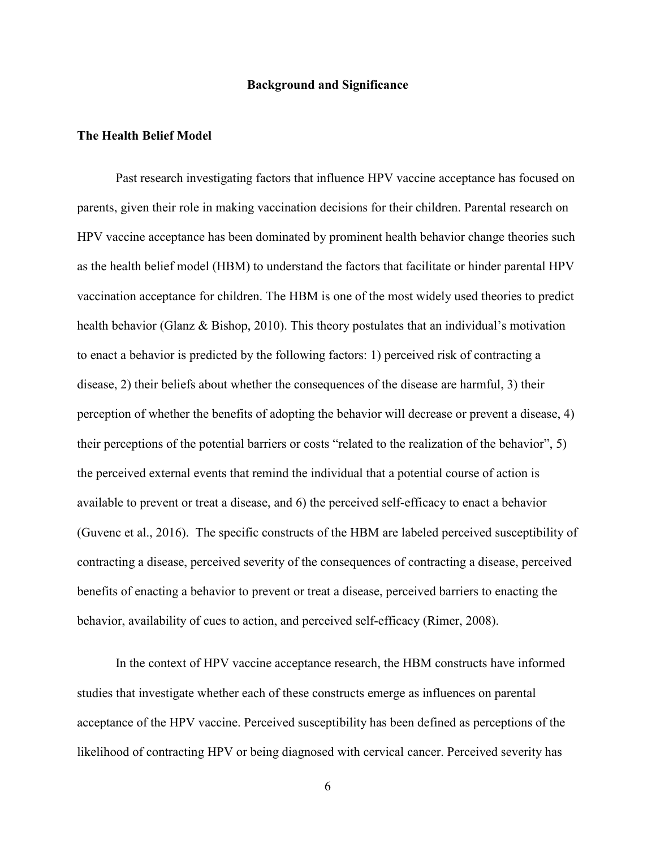#### **Background and Significance**

#### **The Health Belief Model**

Past research investigating factors that influence HPV vaccine acceptance has focused on parents, given their role in making vaccination decisions for their children. Parental research on HPV vaccine acceptance has been dominated by prominent health behavior change theories such as the health belief model (HBM) to understand the factors that facilitate or hinder parental HPV vaccination acceptance for children. The HBM is one of the most widely used theories to predict health behavior (Glanz & Bishop, 2010). This theory postulates that an individual's motivation to enact a behavior is predicted by the following factors: 1) perceived risk of contracting a disease, 2) their beliefs about whether the consequences of the disease are harmful, 3) their perception of whether the benefits of adopting the behavior will decrease or prevent a disease, 4) their perceptions of the potential barriers or costs "related to the realization of the behavior", 5) the perceived external events that remind the individual that a potential course of action is available to prevent or treat a disease, and 6) the perceived self-efficacy to enact a behavior (Guvenc et al., 2016). The specific constructs of the HBM are labeled perceived susceptibility of contracting a disease, perceived severity of the consequences of contracting a disease, perceived benefits of enacting a behavior to prevent or treat a disease, perceived barriers to enacting the behavior, availability of cues to action, and perceived self-efficacy (Rimer, 2008).

In the context of HPV vaccine acceptance research, the HBM constructs have informed studies that investigate whether each of these constructs emerge as influences on parental acceptance of the HPV vaccine. Perceived susceptibility has been defined as perceptions of the likelihood of contracting HPV or being diagnosed with cervical cancer. Perceived severity has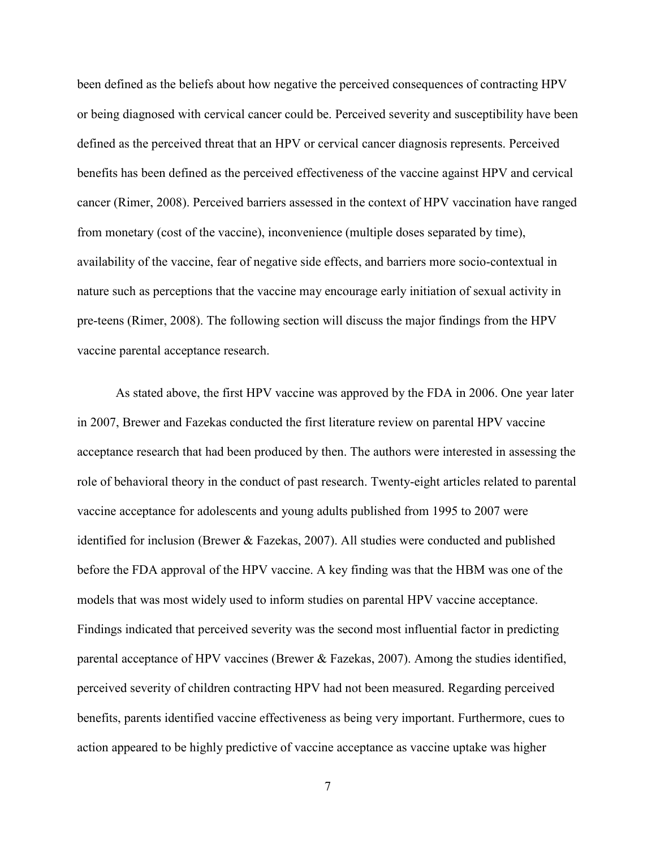been defined as the beliefs about how negative the perceived consequences of contracting HPV or being diagnosed with cervical cancer could be. Perceived severity and susceptibility have been defined as the perceived threat that an HPV or cervical cancer diagnosis represents. Perceived benefits has been defined as the perceived effectiveness of the vaccine against HPV and cervical cancer (Rimer, 2008). Perceived barriers assessed in the context of HPV vaccination have ranged from monetary (cost of the vaccine), inconvenience (multiple doses separated by time), availability of the vaccine, fear of negative side effects, and barriers more socio-contextual in nature such as perceptions that the vaccine may encourage early initiation of sexual activity in pre-teens (Rimer, 2008). The following section will discuss the major findings from the HPV vaccine parental acceptance research.

As stated above, the first HPV vaccine was approved by the FDA in 2006. One year later in 2007, Brewer and Fazekas conducted the first literature review on parental HPV vaccine acceptance research that had been produced by then. The authors were interested in assessing the role of behavioral theory in the conduct of past research. Twenty-eight articles related to parental vaccine acceptance for adolescents and young adults published from 1995 to 2007 were identified for inclusion (Brewer & Fazekas, 2007). All studies were conducted and published before the FDA approval of the HPV vaccine. A key finding was that the HBM was one of the models that was most widely used to inform studies on parental HPV vaccine acceptance. Findings indicated that perceived severity was the second most influential factor in predicting parental acceptance of HPV vaccines (Brewer & Fazekas, 2007). Among the studies identified, perceived severity of children contracting HPV had not been measured. Regarding perceived benefits, parents identified vaccine effectiveness as being very important. Furthermore, cues to action appeared to be highly predictive of vaccine acceptance as vaccine uptake was higher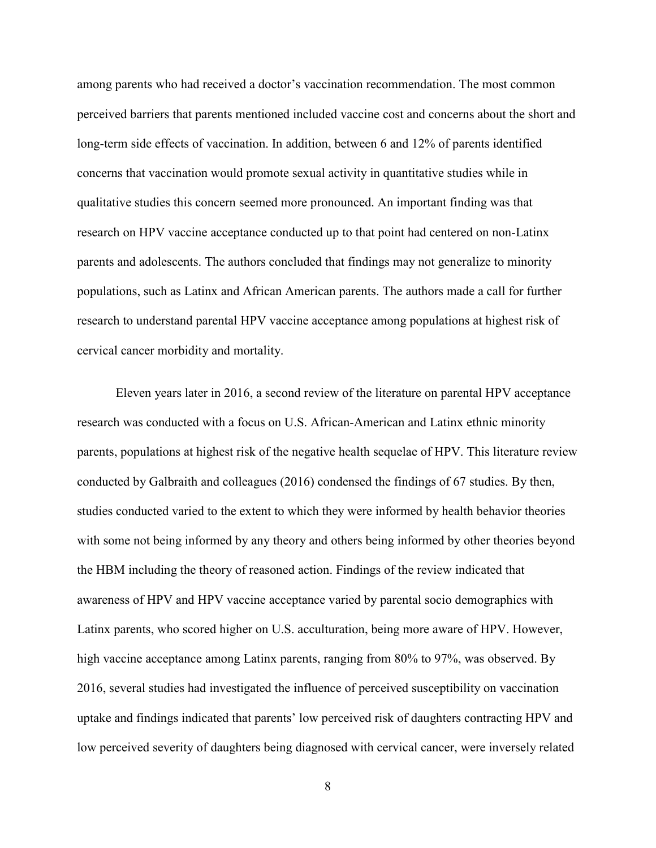among parents who had received a doctor's vaccination recommendation. The most common perceived barriers that parents mentioned included vaccine cost and concerns about the short and long-term side effects of vaccination. In addition, between 6 and 12% of parents identified concerns that vaccination would promote sexual activity in quantitative studies while in qualitative studies this concern seemed more pronounced. An important finding was that research on HPV vaccine acceptance conducted up to that point had centered on non-Latinx parents and adolescents. The authors concluded that findings may not generalize to minority populations, such as Latinx and African American parents. The authors made a call for further research to understand parental HPV vaccine acceptance among populations at highest risk of cervical cancer morbidity and mortality.

Eleven years later in 2016, a second review of the literature on parental HPV acceptance research was conducted with a focus on U.S. African-American and Latinx ethnic minority parents, populations at highest risk of the negative health sequelae of HPV. This literature review conducted by Galbraith and colleagues (2016) condensed the findings of 67 studies. By then, studies conducted varied to the extent to which they were informed by health behavior theories with some not being informed by any theory and others being informed by other theories beyond the HBM including the theory of reasoned action. Findings of the review indicated that awareness of HPV and HPV vaccine acceptance varied by parental socio demographics with Latinx parents, who scored higher on U.S. acculturation, being more aware of HPV. However, high vaccine acceptance among Latinx parents, ranging from 80% to 97%, was observed. By 2016, several studies had investigated the influence of perceived susceptibility on vaccination uptake and findings indicated that parents' low perceived risk of daughters contracting HPV and low perceived severity of daughters being diagnosed with cervical cancer, were inversely related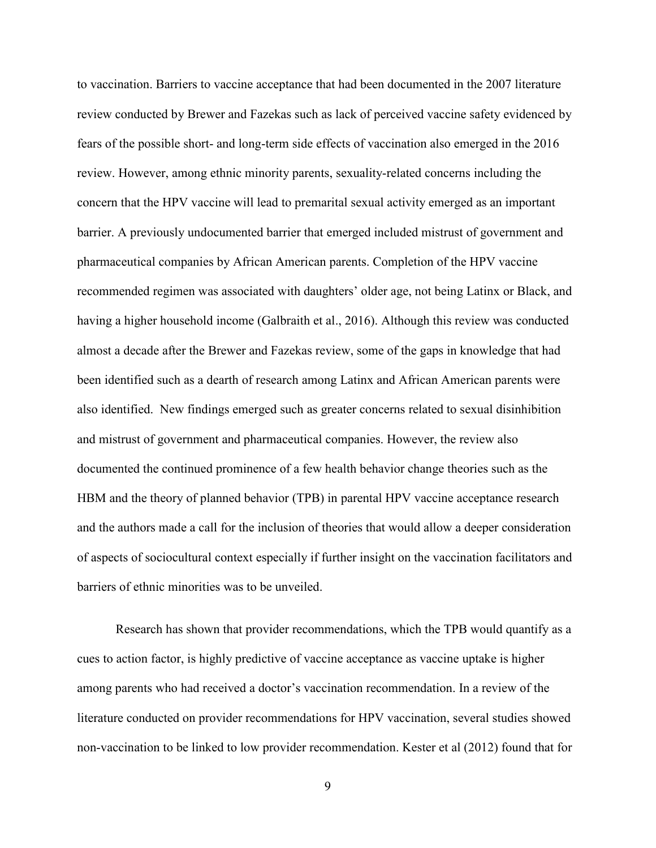to vaccination. Barriers to vaccine acceptance that had been documented in the 2007 literature review conducted by Brewer and Fazekas such as lack of perceived vaccine safety evidenced by fears of the possible short- and long-term side effects of vaccination also emerged in the 2016 review. However, among ethnic minority parents, sexuality-related concerns including the concern that the HPV vaccine will lead to premarital sexual activity emerged as an important barrier. A previously undocumented barrier that emerged included mistrust of government and pharmaceutical companies by African American parents. Completion of the HPV vaccine recommended regimen was associated with daughters' older age, not being Latinx or Black, and having a higher household income (Galbraith et al., 2016). Although this review was conducted almost a decade after the Brewer and Fazekas review, some of the gaps in knowledge that had been identified such as a dearth of research among Latinx and African American parents were also identified. New findings emerged such as greater concerns related to sexual disinhibition and mistrust of government and pharmaceutical companies. However, the review also documented the continued prominence of a few health behavior change theories such as the HBM and the theory of planned behavior (TPB) in parental HPV vaccine acceptance research and the authors made a call for the inclusion of theories that would allow a deeper consideration of aspects of sociocultural context especially if further insight on the vaccination facilitators and barriers of ethnic minorities was to be unveiled.

Research has shown that provider recommendations, which the TPB would quantify as a cues to action factor, is highly predictive of vaccine acceptance as vaccine uptake is higher among parents who had received a doctor's vaccination recommendation. In a review of the literature conducted on provider recommendations for HPV vaccination, several studies showed non-vaccination to be linked to low provider recommendation. Kester et al (2012) found that for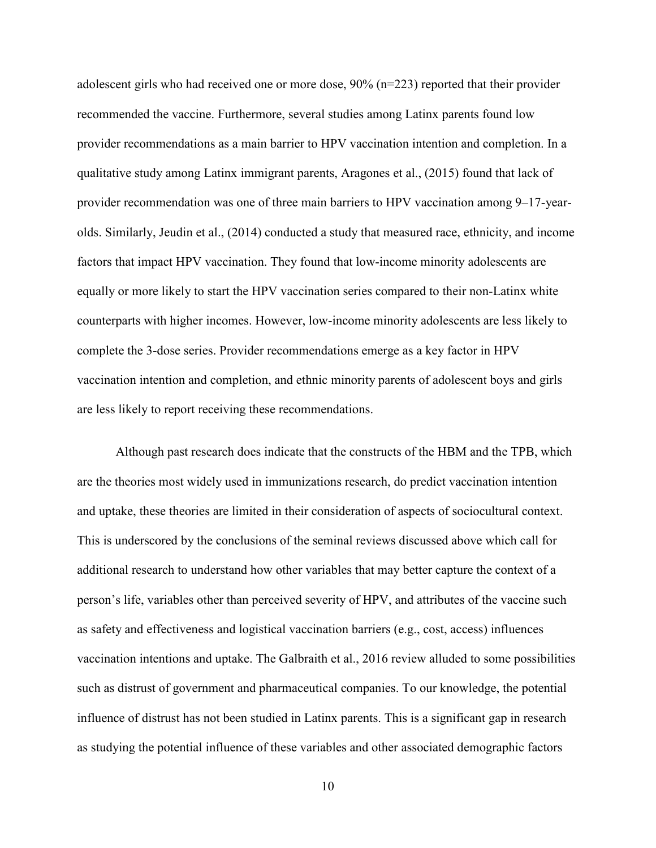adolescent girls who had received one or more dose, 90% (n=223) reported that their provider recommended the vaccine. Furthermore, several studies among Latinx parents found low provider recommendations as a main barrier to HPV vaccination intention and completion. In a qualitative study among Latinx immigrant parents, Aragones et al., (2015) found that lack of provider recommendation was one of three main barriers to HPV vaccination among 9–17-yearolds. Similarly, Jeudin et al., (2014) conducted a study that measured race, ethnicity, and income factors that impact HPV vaccination. They found that low-income minority adolescents are equally or more likely to start the HPV vaccination series compared to their non-Latinx white counterparts with higher incomes. However, low-income minority adolescents are less likely to complete the 3-dose series. Provider recommendations emerge as a key factor in HPV vaccination intention and completion, and ethnic minority parents of adolescent boys and girls are less likely to report receiving these recommendations.

Although past research does indicate that the constructs of the HBM and the TPB, which are the theories most widely used in immunizations research, do predict vaccination intention and uptake, these theories are limited in their consideration of aspects of sociocultural context. This is underscored by the conclusions of the seminal reviews discussed above which call for additional research to understand how other variables that may better capture the context of a person's life, variables other than perceived severity of HPV, and attributes of the vaccine such as safety and effectiveness and logistical vaccination barriers (e.g., cost, access) influences vaccination intentions and uptake. The Galbraith et al., 2016 review alluded to some possibilities such as distrust of government and pharmaceutical companies. To our knowledge, the potential influence of distrust has not been studied in Latinx parents. This is a significant gap in research as studying the potential influence of these variables and other associated demographic factors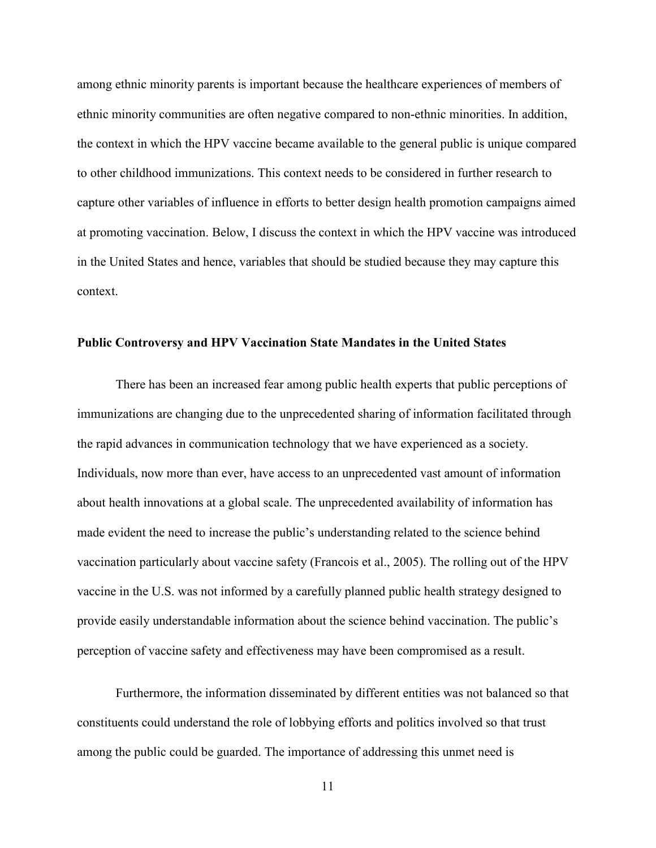among ethnic minority parents is important because the healthcare experiences of members of ethnic minority communities are often negative compared to non-ethnic minorities. In addition, the context in which the HPV vaccine became available to the general public is unique compared to other childhood immunizations. This context needs to be considered in further research to capture other variables of influence in efforts to better design health promotion campaigns aimed at promoting vaccination. Below, I discuss the context in which the HPV vaccine was introduced in the United States and hence, variables that should be studied because they may capture this context.

#### **Public Controversy and HPV Vaccination State Mandates in the United States**

There has been an increased fear among public health experts that public perceptions of immunizations are changing due to the unprecedented sharing of information facilitated through the rapid advances in communication technology that we have experienced as a society. Individuals, now more than ever, have access to an unprecedented vast amount of information about health innovations at a global scale. The unprecedented availability of information has made evident the need to increase the public's understanding related to the science behind vaccination particularly about vaccine safety (Francois et al., 2005). The rolling out of the HPV vaccine in the U.S. was not informed by a carefully planned public health strategy designed to provide easily understandable information about the science behind vaccination. The public's perception of vaccine safety and effectiveness may have been compromised as a result.

Furthermore, the information disseminated by different entities was not balanced so that constituents could understand the role of lobbying efforts and politics involved so that trust among the public could be guarded. The importance of addressing this unmet need is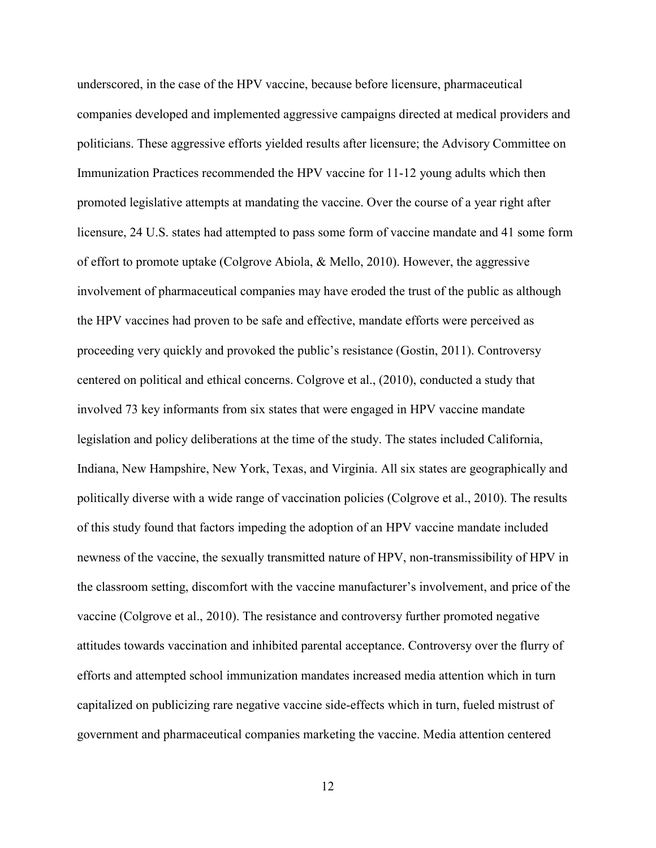underscored, in the case of the HPV vaccine, because before licensure, pharmaceutical companies developed and implemented aggressive campaigns directed at medical providers and politicians. These aggressive efforts yielded results after licensure; the Advisory Committee on Immunization Practices recommended the HPV vaccine for 11-12 young adults which then promoted legislative attempts at mandating the vaccine. Over the course of a year right after licensure, 24 U.S. states had attempted to pass some form of vaccine mandate and 41 some form of effort to promote uptake (Colgrove Abiola, & Mello, 2010). However, the aggressive involvement of pharmaceutical companies may have eroded the trust of the public as although the HPV vaccines had proven to be safe and effective, mandate efforts were perceived as proceeding very quickly and provoked the public's resistance (Gostin, 2011). Controversy centered on political and ethical concerns. Colgrove et al., (2010), conducted a study that involved 73 key informants from six states that were engaged in HPV vaccine mandate legislation and policy deliberations at the time of the study. The states included California, Indiana, New Hampshire, New York, Texas, and Virginia. All six states are geographically and politically diverse with a wide range of vaccination policies (Colgrove et al., 2010). The results of this study found that factors impeding the adoption of an HPV vaccine mandate included newness of the vaccine, the sexually transmitted nature of HPV, non-transmissibility of HPV in the classroom setting, discomfort with the vaccine manufacturer's involvement, and price of the vaccine (Colgrove et al., 2010). The resistance and controversy further promoted negative attitudes towards vaccination and inhibited parental acceptance. Controversy over the flurry of efforts and attempted school immunization mandates increased media attention which in turn capitalized on publicizing rare negative vaccine side-effects which in turn, fueled mistrust of government and pharmaceutical companies marketing the vaccine. Media attention centered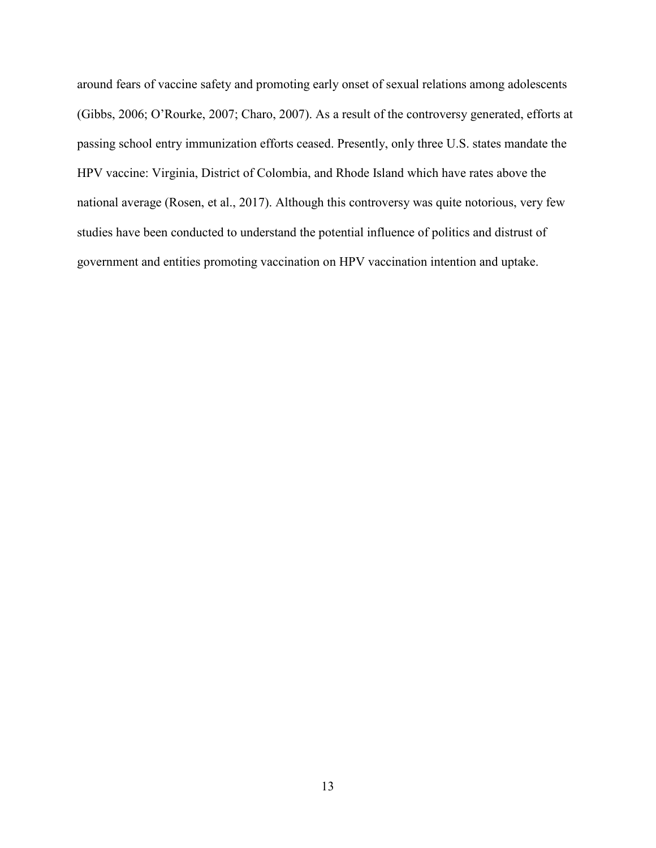around fears of vaccine safety and promoting early onset of sexual relations among adolescents (Gibbs, 2006; O'Rourke, 2007; Charo, 2007). As a result of the controversy generated, efforts at passing school entry immunization efforts ceased. Presently, only three U.S. states mandate the HPV vaccine: Virginia, District of Colombia, and Rhode Island which have rates above the national average (Rosen, et al., 2017). Although this controversy was quite notorious, very few studies have been conducted to understand the potential influence of politics and distrust of government and entities promoting vaccination on HPV vaccination intention and uptake.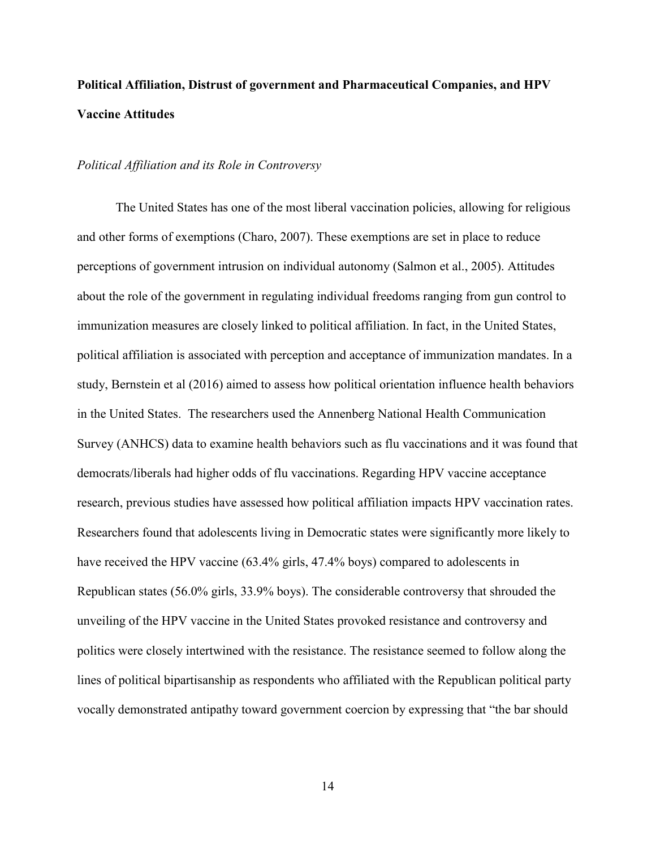## **Political Affiliation, Distrust of government and Pharmaceutical Companies, and HPV Vaccine Attitudes**

#### *Political Affiliation and its Role in Controversy*

The United States has one of the most liberal vaccination policies, allowing for religious and other forms of exemptions (Charo, 2007). These exemptions are set in place to reduce perceptions of government intrusion on individual autonomy (Salmon et al., 2005). Attitudes about the role of the government in regulating individual freedoms ranging from gun control to immunization measures are closely linked to political affiliation. In fact, in the United States, political affiliation is associated with perception and acceptance of immunization mandates. In a study, Bernstein et al (2016) aimed to assess how political orientation influence health behaviors in the United States. The researchers used the Annenberg National Health Communication Survey (ANHCS) data to examine health behaviors such as flu vaccinations and it was found that democrats/liberals had higher odds of flu vaccinations. Regarding HPV vaccine acceptance research, previous studies have assessed how political affiliation impacts HPV vaccination rates. Researchers found that adolescents living in Democratic states were significantly more likely to have received the HPV vaccine (63.4% girls, 47.4% boys) compared to adolescents in Republican states (56.0% girls, 33.9% boys). The considerable controversy that shrouded the unveiling of the HPV vaccine in the United States provoked resistance and controversy and politics were closely intertwined with the resistance. The resistance seemed to follow along the lines of political bipartisanship as respondents who affiliated with the Republican political party vocally demonstrated antipathy toward government coercion by expressing that "the bar should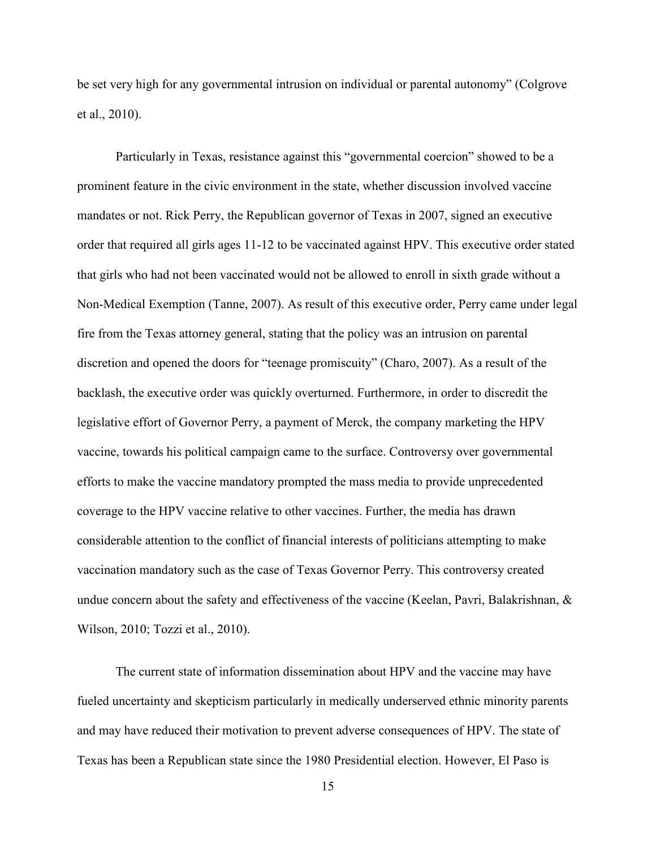be set very high for any governmental intrusion on individual or parental autonomy" (Colgrove et al., 2010).

Particularly in Texas, resistance against this "governmental coercion" showed to be a prominent feature in the civic environment in the state, whether discussion involved vaccine mandates or not. Rick Perry, the Republican governor of Texas in 2007, signed an executive order that required all girls ages 11-12 to be vaccinated against HPV. This executive order stated that girls who had not been vaccinated would not be allowed to enroll in sixth grade without a Non-Medical Exemption (Tanne, 2007). As result of this executive order, Perry came under legal fire from the Texas attorney general, stating that the policy was an intrusion on parental discretion and opened the doors for "teenage promiscuity" (Charo, 2007). As a result of the backlash, the executive order was quickly overturned. Furthermore, in order to discredit the legislative effort of Governor Perry, a payment of Merck, the company marketing the HPV vaccine, towards his political campaign came to the surface. Controversy over governmental efforts to make the vaccine mandatory prompted the mass media to provide unprecedented coverage to the HPV vaccine relative to other vaccines. Further, the media has drawn considerable attention to the conflict of financial interests of politicians attempting to make vaccination mandatory such as the case of Texas Governor Perry. This controversy created undue concern about the safety and effectiveness of the vaccine (Keelan, Pavri, Balakrishnan, & Wilson, 2010; Tozzi et al., 2010).

The current state of information dissemination about HPV and the vaccine may have fueled uncertainty and skepticism particularly in medically underserved ethnic minority parents and may have reduced their motivation to prevent adverse consequences of HPV. The state of Texas has been a Republican state since the 1980 Presidential election. However, El Paso is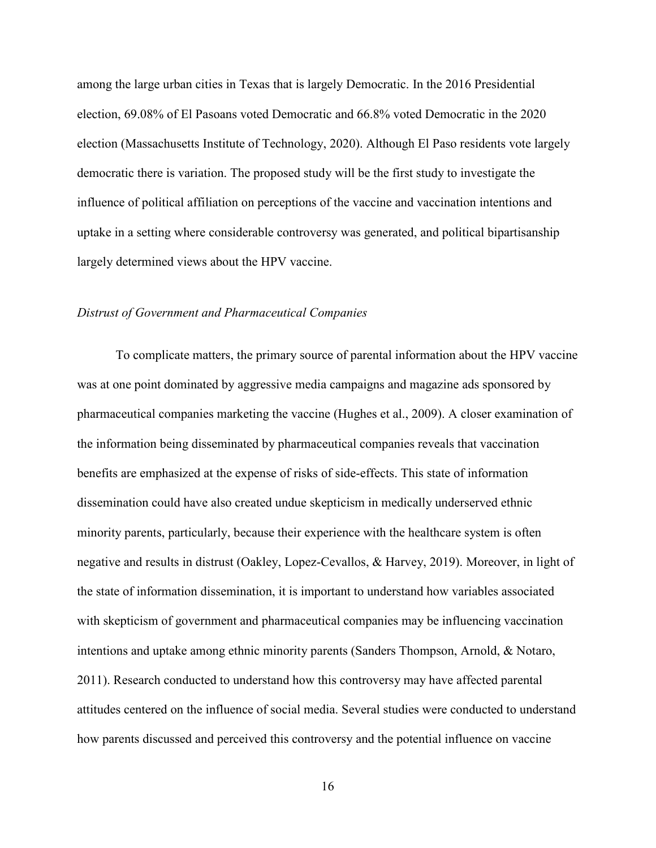among the large urban cities in Texas that is largely Democratic. In the 2016 Presidential election, 69.08% of El Pasoans voted Democratic and 66.8% voted Democratic in the 2020 election (Massachusetts Institute of Technology, 2020). Although El Paso residents vote largely democratic there is variation. The proposed study will be the first study to investigate the influence of political affiliation on perceptions of the vaccine and vaccination intentions and uptake in a setting where considerable controversy was generated, and political bipartisanship largely determined views about the HPV vaccine.

#### *Distrust of Government and Pharmaceutical Companies*

To complicate matters, the primary source of parental information about the HPV vaccine was at one point dominated by aggressive media campaigns and magazine ads sponsored by pharmaceutical companies marketing the vaccine (Hughes et al., 2009). A closer examination of the information being disseminated by pharmaceutical companies reveals that vaccination benefits are emphasized at the expense of risks of side-effects. This state of information dissemination could have also created undue skepticism in medically underserved ethnic minority parents, particularly, because their experience with the healthcare system is often negative and results in distrust (Oakley, Lopez-Cevallos, & Harvey, 2019). Moreover, in light of the state of information dissemination, it is important to understand how variables associated with skepticism of government and pharmaceutical companies may be influencing vaccination intentions and uptake among ethnic minority parents (Sanders Thompson, Arnold, & Notaro, 2011). Research conducted to understand how this controversy may have affected parental attitudes centered on the influence of social media. Several studies were conducted to understand how parents discussed and perceived this controversy and the potential influence on vaccine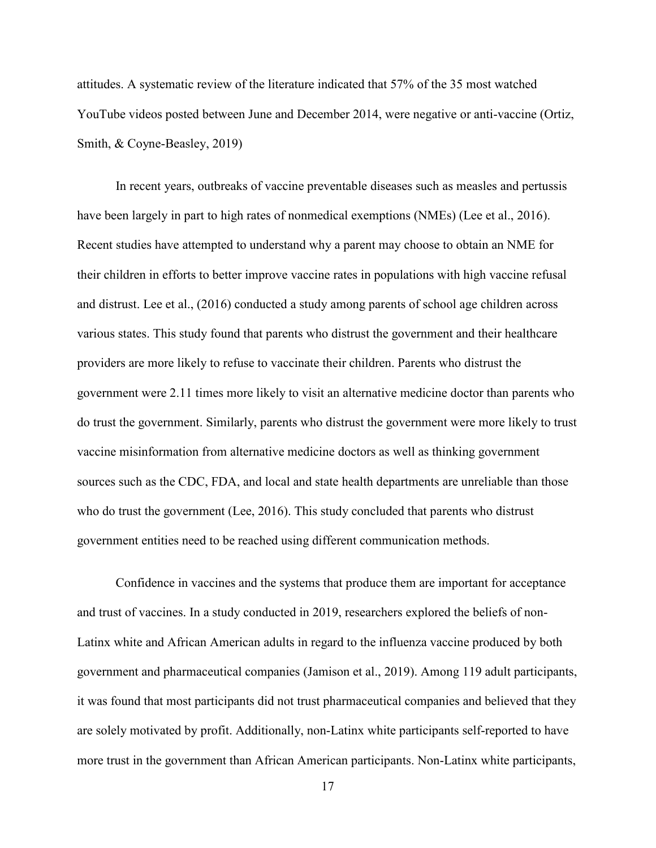attitudes. A systematic review of the literature indicated that 57% of the 35 most watched YouTube videos posted between June and December 2014, were negative or anti-vaccine (Ortiz, Smith, & Coyne-Beasley, 2019)

In recent years, outbreaks of vaccine preventable diseases such as measles and pertussis have been largely in part to high rates of nonmedical exemptions (NMEs) (Lee et al., 2016). Recent studies have attempted to understand why a parent may choose to obtain an NME for their children in efforts to better improve vaccine rates in populations with high vaccine refusal and distrust. Lee et al., (2016) conducted a study among parents of school age children across various states. This study found that parents who distrust the government and their healthcare providers are more likely to refuse to vaccinate their children. Parents who distrust the government were 2.11 times more likely to visit an alternative medicine doctor than parents who do trust the government. Similarly, parents who distrust the government were more likely to trust vaccine misinformation from alternative medicine doctors as well as thinking government sources such as the CDC, FDA, and local and state health departments are unreliable than those who do trust the government (Lee, 2016). This study concluded that parents who distrust government entities need to be reached using different communication methods.

Confidence in vaccines and the systems that produce them are important for acceptance and trust of vaccines. In a study conducted in 2019, researchers explored the beliefs of non-Latinx white and African American adults in regard to the influenza vaccine produced by both government and pharmaceutical companies (Jamison et al., 2019). Among 119 adult participants, it was found that most participants did not trust pharmaceutical companies and believed that they are solely motivated by profit. Additionally, non-Latinx white participants self-reported to have more trust in the government than African American participants. Non-Latinx white participants,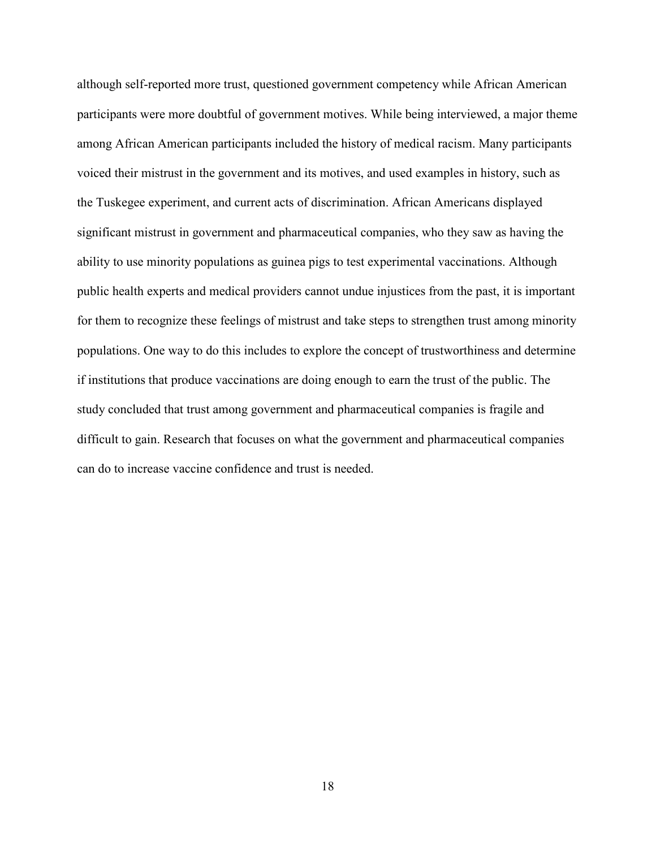although self-reported more trust, questioned government competency while African American participants were more doubtful of government motives. While being interviewed, a major theme among African American participants included the history of medical racism. Many participants voiced their mistrust in the government and its motives, and used examples in history, such as the Tuskegee experiment, and current acts of discrimination. African Americans displayed significant mistrust in government and pharmaceutical companies, who they saw as having the ability to use minority populations as guinea pigs to test experimental vaccinations. Although public health experts and medical providers cannot undue injustices from the past, it is important for them to recognize these feelings of mistrust and take steps to strengthen trust among minority populations. One way to do this includes to explore the concept of trustworthiness and determine if institutions that produce vaccinations are doing enough to earn the trust of the public. The study concluded that trust among government and pharmaceutical companies is fragile and difficult to gain. Research that focuses on what the government and pharmaceutical companies can do to increase vaccine confidence and trust is needed.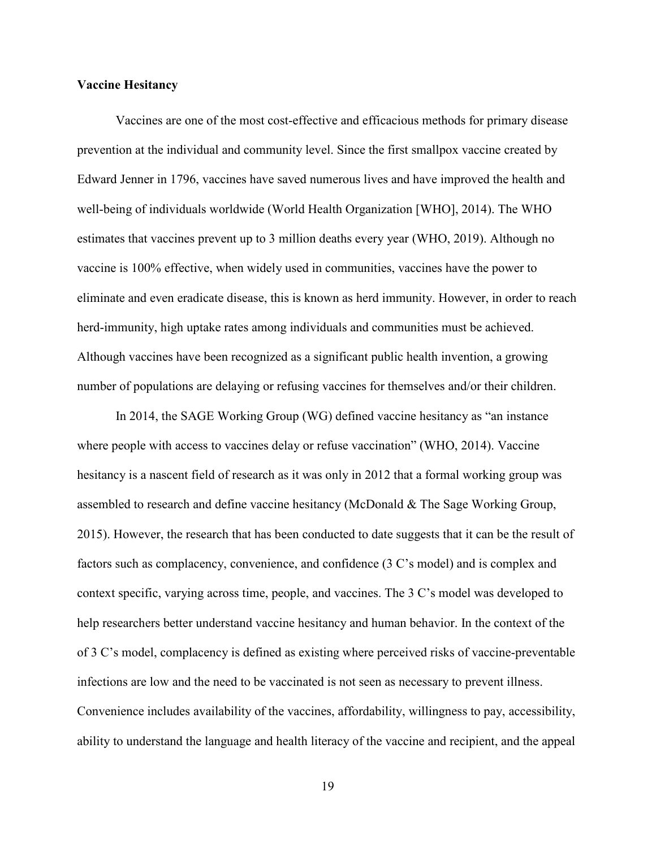#### **Vaccine Hesitancy**

Vaccines are one of the most cost-effective and efficacious methods for primary disease prevention at the individual and community level. Since the first smallpox vaccine created by Edward Jenner in 1796, vaccines have saved numerous lives and have improved the health and well-being of individuals worldwide (World Health Organization [WHO], 2014). The WHO estimates that vaccines prevent up to 3 million deaths every year (WHO, 2019). Although no vaccine is 100% effective, when widely used in communities, vaccines have the power to eliminate and even eradicate disease, this is known as herd immunity. However, in order to reach herd-immunity, high uptake rates among individuals and communities must be achieved. Although vaccines have been recognized as a significant public health invention, a growing number of populations are delaying or refusing vaccines for themselves and/or their children.

In 2014, the SAGE Working Group (WG) defined vaccine hesitancy as "an instance where people with access to vaccines delay or refuse vaccination" (WHO, 2014). Vaccine hesitancy is a nascent field of research as it was only in 2012 that a formal working group was assembled to research and define vaccine hesitancy (McDonald & The Sage Working Group, 2015). However, the research that has been conducted to date suggests that it can be the result of factors such as complacency, convenience, and confidence (3 C's model) and is complex and context specific, varying across time, people, and vaccines. The 3 C's model was developed to help researchers better understand vaccine hesitancy and human behavior. In the context of the of 3 C's model, complacency is defined as existing where perceived risks of vaccine-preventable infections are low and the need to be vaccinated is not seen as necessary to prevent illness. Convenience includes availability of the vaccines, affordability, willingness to pay, accessibility, ability to understand the language and health literacy of the vaccine and recipient, and the appeal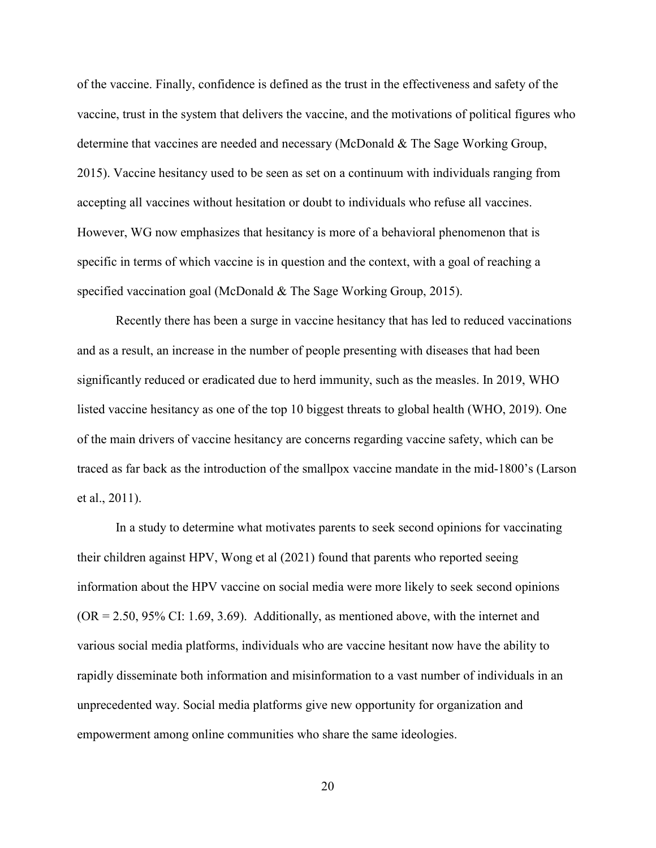of the vaccine. Finally, confidence is defined as the trust in the effectiveness and safety of the vaccine, trust in the system that delivers the vaccine, and the motivations of political figures who determine that vaccines are needed and necessary (McDonald & The Sage Working Group, 2015). Vaccine hesitancy used to be seen as set on a continuum with individuals ranging from accepting all vaccines without hesitation or doubt to individuals who refuse all vaccines. However, WG now emphasizes that hesitancy is more of a behavioral phenomenon that is specific in terms of which vaccine is in question and the context, with a goal of reaching a specified vaccination goal (McDonald & The Sage Working Group, 2015).

Recently there has been a surge in vaccine hesitancy that has led to reduced vaccinations and as a result, an increase in the number of people presenting with diseases that had been significantly reduced or eradicated due to herd immunity, such as the measles. In 2019, WHO listed vaccine hesitancy as one of the top 10 biggest threats to global health (WHO, 2019). One of the main drivers of vaccine hesitancy are concerns regarding vaccine safety, which can be traced as far back as the introduction of the smallpox vaccine mandate in the mid-1800's (Larson et al., 2011).

In a study to determine what motivates parents to seek second opinions for vaccinating their children against HPV, Wong et al (2021) found that parents who reported seeing information about the HPV vaccine on social media were more likely to seek second opinions  $(OR = 2.50, 95\% \text{ CI: } 1.69, 3.69)$ . Additionally, as mentioned above, with the internet and various social media platforms, individuals who are vaccine hesitant now have the ability to rapidly disseminate both information and misinformation to a vast number of individuals in an unprecedented way. Social media platforms give new opportunity for organization and empowerment among online communities who share the same ideologies.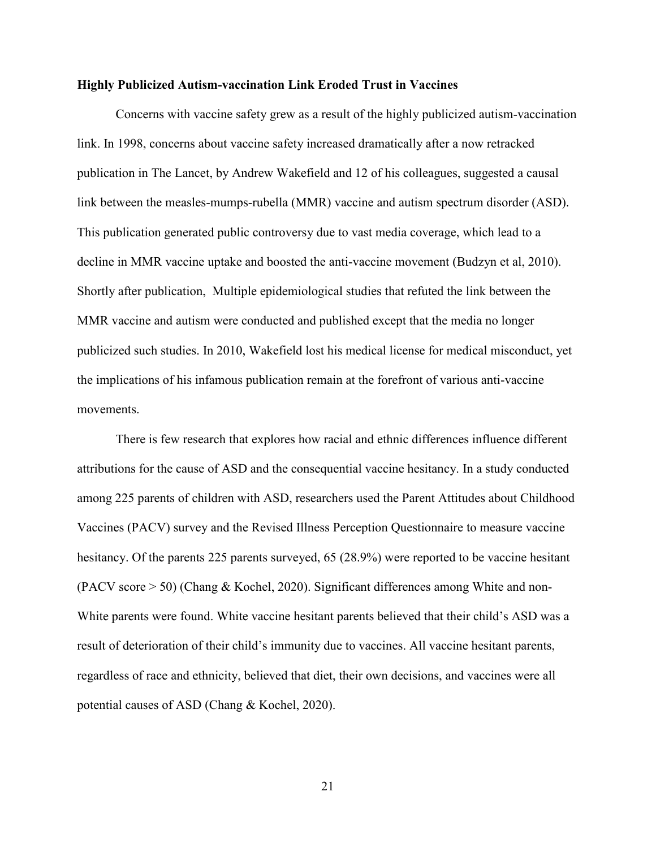#### **Highly Publicized Autism-vaccination Link Eroded Trust in Vaccines**

Concerns with vaccine safety grew as a result of the highly publicized autism-vaccination link. In 1998, concerns about vaccine safety increased dramatically after a now retracked publication in The Lancet, by Andrew Wakefield and 12 of his colleagues, suggested a causal link between the measles-mumps-rubella (MMR) vaccine and autism spectrum disorder (ASD). This publication generated public controversy due to vast media coverage, which lead to a decline in MMR vaccine uptake and boosted the anti-vaccine movement (Budzyn et al, 2010). Shortly after publication, Multiple epidemiological studies that refuted the link between the MMR vaccine and autism were conducted and published except that the media no longer publicized such studies. In 2010, Wakefield lost his medical license for medical misconduct, yet the implications of his infamous publication remain at the forefront of various anti-vaccine movements.

There is few research that explores how racial and ethnic differences influence different attributions for the cause of ASD and the consequential vaccine hesitancy. In a study conducted among 225 parents of children with ASD, researchers used the Parent Attitudes about Childhood Vaccines (PACV) survey and the Revised Illness Perception Questionnaire to measure vaccine hesitancy. Of the parents 225 parents surveyed, 65 (28.9%) were reported to be vaccine hesitant (PACV score > 50) (Chang & Kochel, 2020). Significant differences among White and non-White parents were found. White vaccine hesitant parents believed that their child's ASD was a result of deterioration of their child's immunity due to vaccines. All vaccine hesitant parents, regardless of race and ethnicity, believed that diet, their own decisions, and vaccines were all potential causes of ASD (Chang & Kochel, 2020).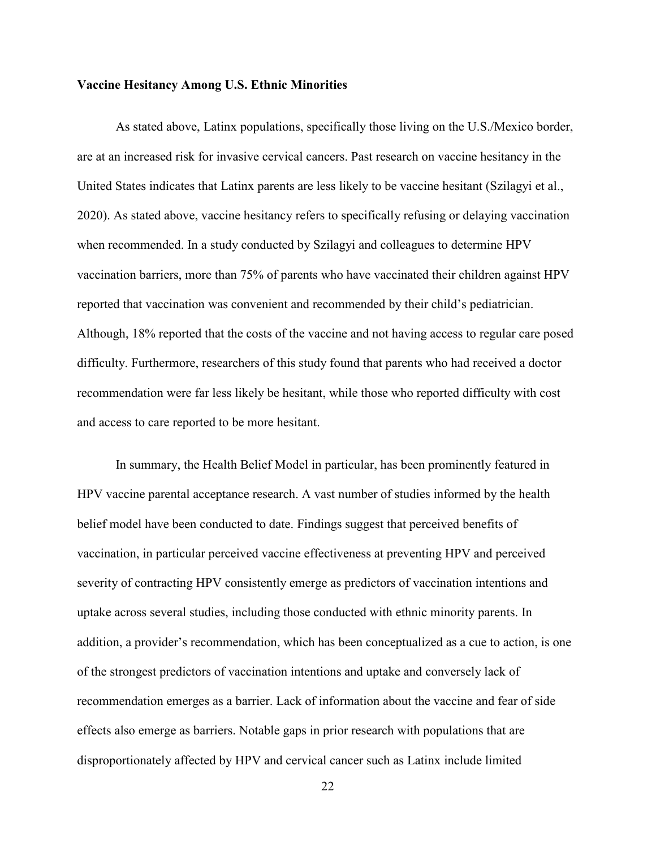#### **Vaccine Hesitancy Among U.S. Ethnic Minorities**

As stated above, Latinx populations, specifically those living on the U.S./Mexico border, are at an increased risk for invasive cervical cancers. Past research on vaccine hesitancy in the United States indicates that Latinx parents are less likely to be vaccine hesitant (Szilagyi et al., 2020). As stated above, vaccine hesitancy refers to specifically refusing or delaying vaccination when recommended. In a study conducted by Szilagyi and colleagues to determine HPV vaccination barriers, more than 75% of parents who have vaccinated their children against HPV reported that vaccination was convenient and recommended by their child's pediatrician. Although, 18% reported that the costs of the vaccine and not having access to regular care posed difficulty. Furthermore, researchers of this study found that parents who had received a doctor recommendation were far less likely be hesitant, while those who reported difficulty with cost and access to care reported to be more hesitant.

In summary, the Health Belief Model in particular, has been prominently featured in HPV vaccine parental acceptance research. A vast number of studies informed by the health belief model have been conducted to date. Findings suggest that perceived benefits of vaccination, in particular perceived vaccine effectiveness at preventing HPV and perceived severity of contracting HPV consistently emerge as predictors of vaccination intentions and uptake across several studies, including those conducted with ethnic minority parents. In addition, a provider's recommendation, which has been conceptualized as a cue to action, is one of the strongest predictors of vaccination intentions and uptake and conversely lack of recommendation emerges as a barrier. Lack of information about the vaccine and fear of side effects also emerge as barriers. Notable gaps in prior research with populations that are disproportionately affected by HPV and cervical cancer such as Latinx include limited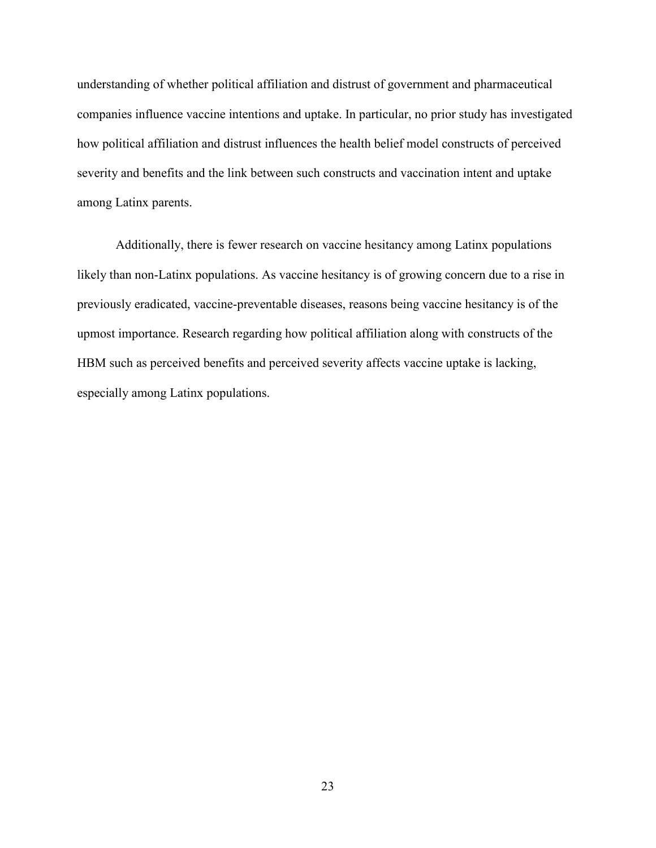understanding of whether political affiliation and distrust of government and pharmaceutical companies influence vaccine intentions and uptake. In particular, no prior study has investigated how political affiliation and distrust influences the health belief model constructs of perceived severity and benefits and the link between such constructs and vaccination intent and uptake among Latinx parents.

Additionally, there is fewer research on vaccine hesitancy among Latinx populations likely than non-Latinx populations. As vaccine hesitancy is of growing concern due to a rise in previously eradicated, vaccine-preventable diseases, reasons being vaccine hesitancy is of the upmost importance. Research regarding how political affiliation along with constructs of the HBM such as perceived benefits and perceived severity affects vaccine uptake is lacking, especially among Latinx populations.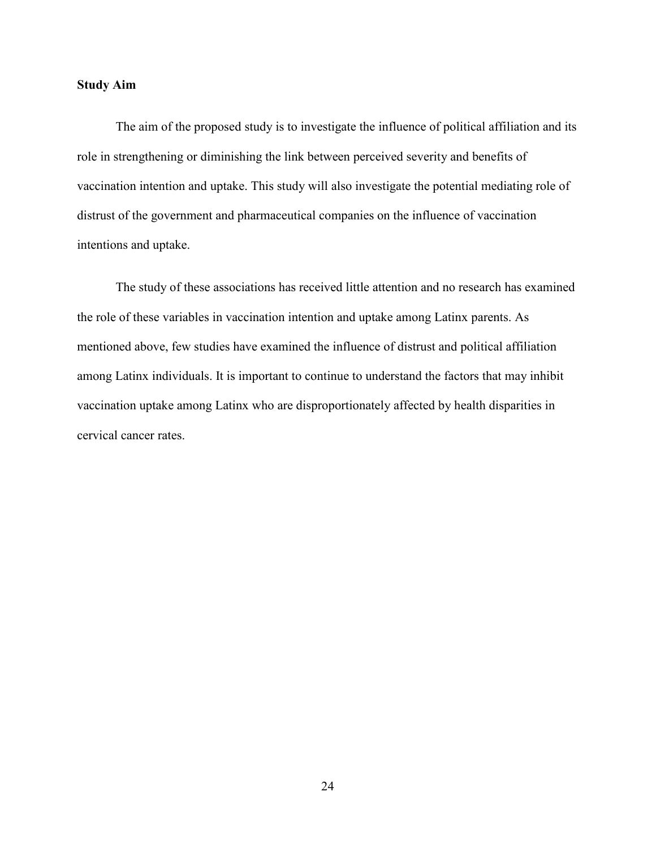#### **Study Aim**

The aim of the proposed study is to investigate the influence of political affiliation and its role in strengthening or diminishing the link between perceived severity and benefits of vaccination intention and uptake. This study will also investigate the potential mediating role of distrust of the government and pharmaceutical companies on the influence of vaccination intentions and uptake.

The study of these associations has received little attention and no research has examined the role of these variables in vaccination intention and uptake among Latinx parents. As mentioned above, few studies have examined the influence of distrust and political affiliation among Latinx individuals. It is important to continue to understand the factors that may inhibit vaccination uptake among Latinx who are disproportionately affected by health disparities in cervical cancer rates.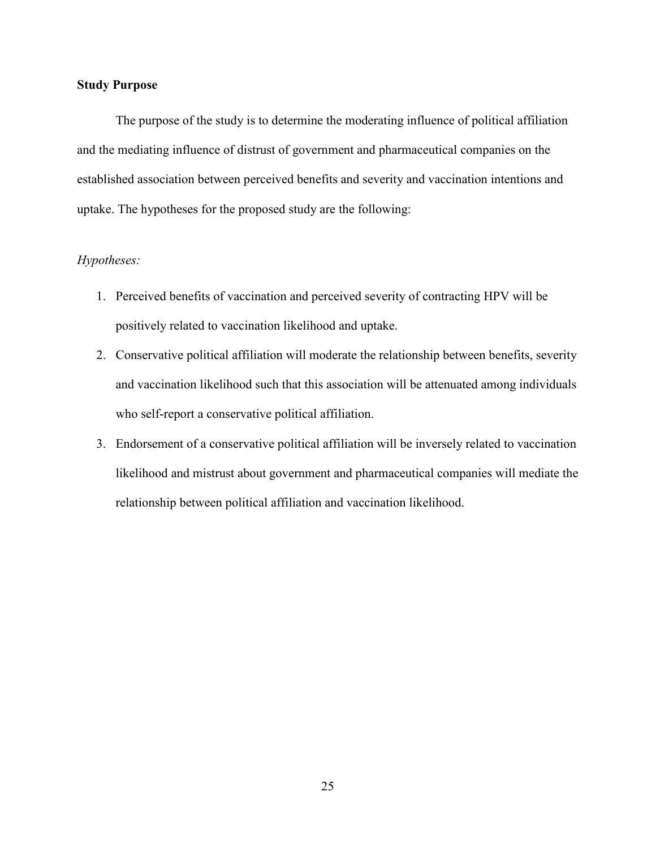# **Study Purpose**

The purpose of the study is to determine the moderating influence of political affiliation and the mediating influence of distrust of government and pharmaceutical companies on the established association between perceived benefits and severity and vaccination intentions and uptake. The hypotheses for the proposed study are the following:

# *Hypotheses:*

- 1. Perceived benefits of vaccination and perceived severity of contracting HPV will be positively related to vaccination likelihood and uptake.
- 2. Conservative political affiliation will moderate the relationship between benefits, severity and vaccination likelihood such that this association will be attenuated among individuals who self-report a conservative political affiliation.
- 3. Endorsement of a conservative political affiliation will be inversely related to vaccination likelihood and mistrust about government and pharmaceutical companies will mediate the relationship between political affiliation and vaccination likelihood.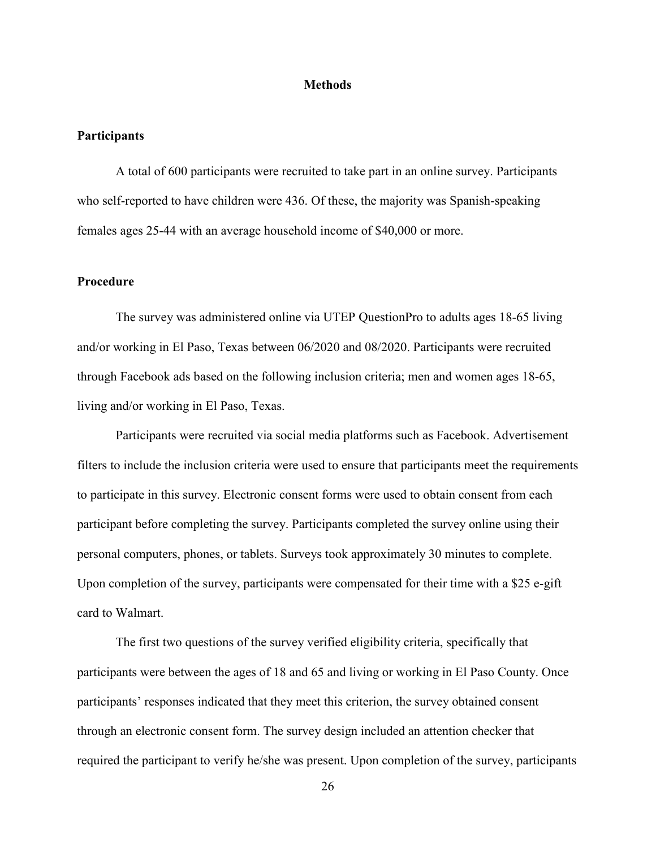#### **Methods**

## **Participants**

 A total of 600 participants were recruited to take part in an online survey. Participants who self-reported to have children were 436. Of these, the majority was Spanish-speaking females ages 25-44 with an average household income of \$40,000 or more.

## **Procedure**

The survey was administered online via UTEP QuestionPro to adults ages 18-65 living and/or working in El Paso, Texas between 06/2020 and 08/2020. Participants were recruited through Facebook ads based on the following inclusion criteria; men and women ages 18-65, living and/or working in El Paso, Texas.

Participants were recruited via social media platforms such as Facebook. Advertisement filters to include the inclusion criteria were used to ensure that participants meet the requirements to participate in this survey. Electronic consent forms were used to obtain consent from each participant before completing the survey. Participants completed the survey online using their personal computers, phones, or tablets. Surveys took approximately 30 minutes to complete. Upon completion of the survey, participants were compensated for their time with a \$25 e-gift card to Walmart.

The first two questions of the survey verified eligibility criteria, specifically that participants were between the ages of 18 and 65 and living or working in El Paso County. Once participants' responses indicated that they meet this criterion, the survey obtained consent through an electronic consent form. The survey design included an attention checker that required the participant to verify he/she was present. Upon completion of the survey, participants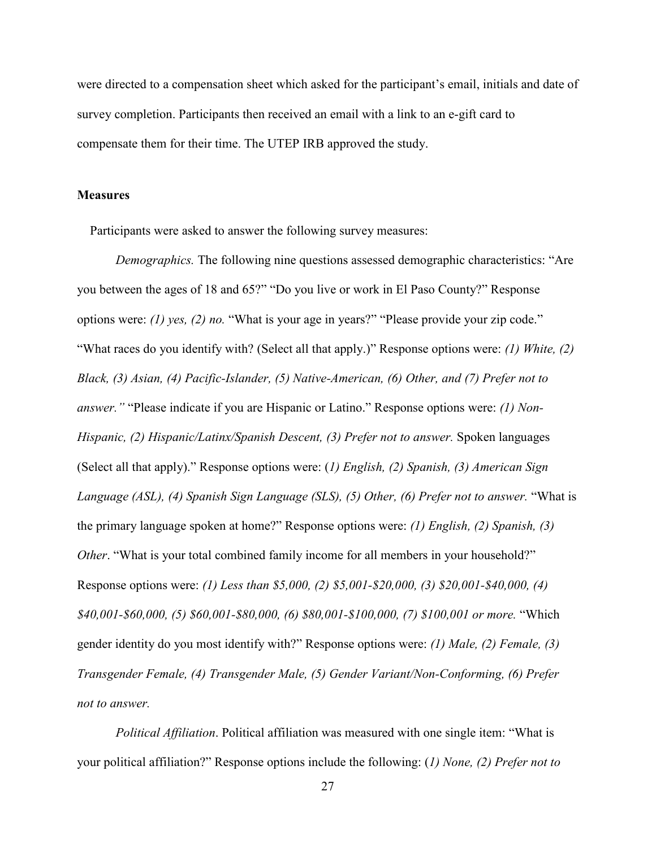were directed to a compensation sheet which asked for the participant's email, initials and date of survey completion. Participants then received an email with a link to an e-gift card to compensate them for their time. The UTEP IRB approved the study.

#### **Measures**

Participants were asked to answer the following survey measures:

*Demographics.* The following nine questions assessed demographic characteristics: "Are you between the ages of 18 and 65?" "Do you live or work in El Paso County?" Response options were: *(1) yes, (2) no.* "What is your age in years?" "Please provide your zip code." "What races do you identify with? (Select all that apply.)" Response options were: *(1) White, (2) Black, (3) Asian, (4) Pacific-Islander, (5) Native-American, (6) Other, and (7) Prefer not to answer."* "Please indicate if you are Hispanic or Latino." Response options were: *(1) Non-Hispanic, (2) Hispanic/Latinx/Spanish Descent, (3) Prefer not to answer. Spoken languages* (Select all that apply)." Response options were: (*1) English, (2) Spanish, (3) American Sign Language (ASL), (4) Spanish Sign Language (SLS), (5) Other, (6) Prefer not to answer.* "What is the primary language spoken at home?" Response options were: *(1) English, (2) Spanish, (3) Other*. "What is your total combined family income for all members in your household?" Response options were: *(1) Less than \$5,000, (2) \$5,001-\$20,000, (3) \$20,001-\$40,000, (4) \$40,001-\$60,000, (5) \$60,001-\$80,000, (6) \$80,001-\$100,000, (7) \$100,001 or more.* "Which gender identity do you most identify with?" Response options were: *(1) Male, (2) Female, (3) Transgender Female, (4) Transgender Male, (5) Gender Variant/Non-Conforming, (6) Prefer not to answer.* 

*Political Affiliation*. Political affiliation was measured with one single item: "What is your political affiliation?" Response options include the following: (*1) None, (2) Prefer not to*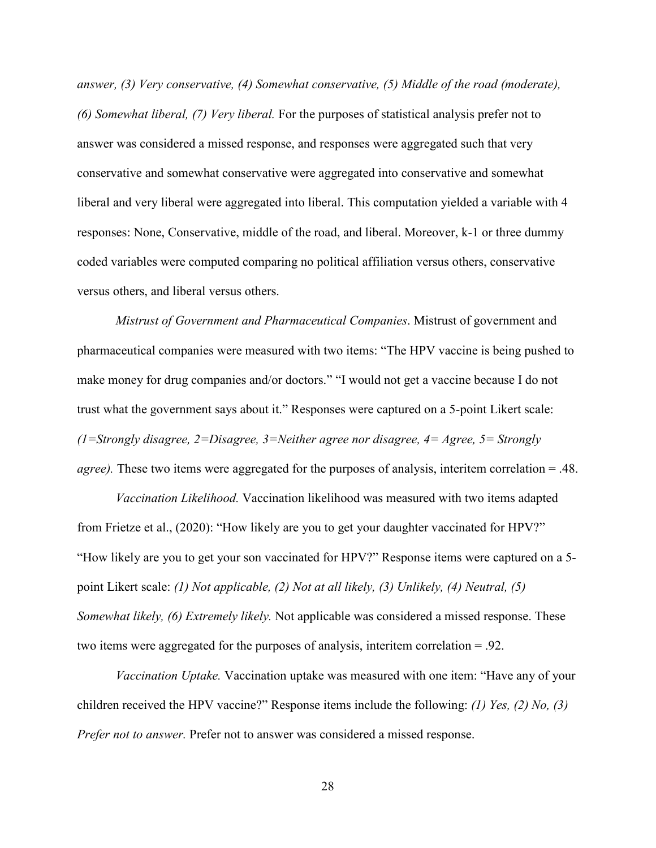*answer, (3) Very conservative, (4) Somewhat conservative, (5) Middle of the road (moderate), (6) Somewhat liberal, (7) Very liberal.* For the purposes of statistical analysis prefer not to answer was considered a missed response, and responses were aggregated such that very conservative and somewhat conservative were aggregated into conservative and somewhat liberal and very liberal were aggregated into liberal. This computation yielded a variable with 4 responses: None, Conservative, middle of the road, and liberal. Moreover, k-1 or three dummy coded variables were computed comparing no political affiliation versus others, conservative versus others, and liberal versus others.

*Mistrust of Government and Pharmaceutical Companies*. Mistrust of government and pharmaceutical companies were measured with two items: "The HPV vaccine is being pushed to make money for drug companies and/or doctors." "I would not get a vaccine because I do not trust what the government says about it." Responses were captured on a 5-point Likert scale: *(1=Strongly disagree, 2=Disagree, 3=Neither agree nor disagree, 4= Agree, 5= Strongly agree).* These two items were aggregated for the purposes of analysis, interitem correlation = .48.

*Vaccination Likelihood.* Vaccination likelihood was measured with two items adapted from Frietze et al., (2020): "How likely are you to get your daughter vaccinated for HPV?" "How likely are you to get your son vaccinated for HPV?" Response items were captured on a 5 point Likert scale: *(1) Not applicable, (2) Not at all likely, (3) Unlikely, (4) Neutral, (5) Somewhat likely, (6) Extremely likely.* Not applicable was considered a missed response. These two items were aggregated for the purposes of analysis, interitem correlation = .92.

*Vaccination Uptake.* Vaccination uptake was measured with one item: "Have any of your children received the HPV vaccine?" Response items include the following: *(1) Yes, (2) No, (3) Prefer not to answer.* Prefer not to answer was considered a missed response.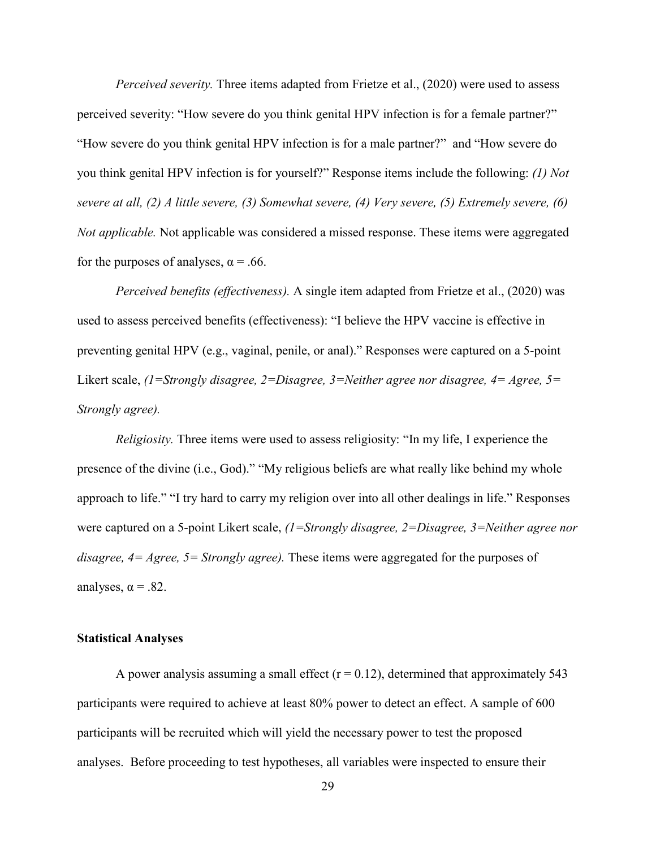*Perceived severity.* Three items adapted from Frietze et al., (2020) were used to assess perceived severity: "How severe do you think genital HPV infection is for a female partner?" "How severe do you think genital HPV infection is for a male partner?" and "How severe do you think genital HPV infection is for yourself?" Response items include the following: *(1) Not severe at all, (2) A little severe, (3) Somewhat severe, (4) Very severe, (5) Extremely severe, (6) Not applicable.* Not applicable was considered a missed response. These items were aggregated for the purposes of analyses,  $\alpha$  = .66.

*Perceived benefits (effectiveness).* A single item adapted from Frietze et al., (2020) was used to assess perceived benefits (effectiveness): "I believe the HPV vaccine is effective in preventing genital HPV (e.g., vaginal, penile, or anal)." Responses were captured on a 5-point Likert scale, *(1=Strongly disagree, 2=Disagree, 3=Neither agree nor disagree, 4= Agree, 5= Strongly agree).* 

*Religiosity.* Three items were used to assess religiosity: "In my life, I experience the presence of the divine (i.e., God)." "My religious beliefs are what really like behind my whole approach to life." "I try hard to carry my religion over into all other dealings in life." Responses were captured on a 5-point Likert scale, *(1=Strongly disagree, 2=Disagree, 3=Neither agree nor disagree, 4= Agree, 5= Strongly agree).* These items were aggregated for the purposes of analyses,  $\alpha = .82$ .

## **Statistical Analyses**

A power analysis assuming a small effect  $(r = 0.12)$ , determined that approximately 543 participants were required to achieve at least 80% power to detect an effect. A sample of 600 participants will be recruited which will yield the necessary power to test the proposed analyses. Before proceeding to test hypotheses, all variables were inspected to ensure their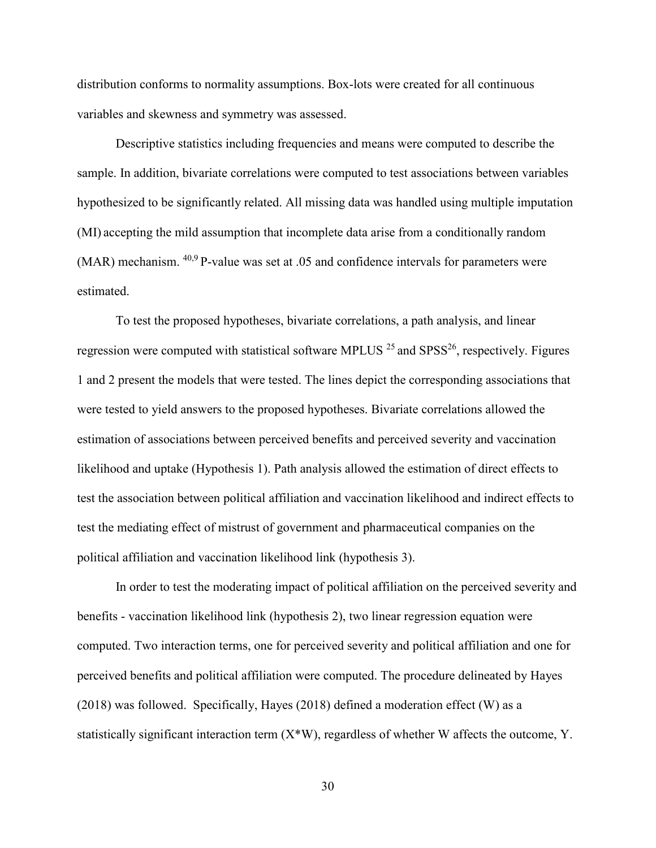distribution conforms to normality assumptions. Box-lots were created for all continuous variables and skewness and symmetry was assessed.

Descriptive statistics including frequencies and means were computed to describe the sample. In addition, bivariate correlations were computed to test associations between variables hypothesized to be significantly related. All missing data was handled using multiple imputation (MI) accepting the mild assumption that incomplete data arise from a conditionally random (MAR) mechanism. 40,9 P-value was set at .05 and confidence intervals for parameters were estimated.

To test the proposed hypotheses, bivariate correlations, a path analysis, and linear regression were computed with statistical software MPLUS  $^{25}$  and SPSS<sup>26</sup>, respectively. Figures 1 and 2 present the models that were tested. The lines depict the corresponding associations that were tested to yield answers to the proposed hypotheses. Bivariate correlations allowed the estimation of associations between perceived benefits and perceived severity and vaccination likelihood and uptake (Hypothesis 1). Path analysis allowed the estimation of direct effects to test the association between political affiliation and vaccination likelihood and indirect effects to test the mediating effect of mistrust of government and pharmaceutical companies on the political affiliation and vaccination likelihood link (hypothesis 3).

In order to test the moderating impact of political affiliation on the perceived severity and benefits - vaccination likelihood link (hypothesis 2), two linear regression equation were computed. Two interaction terms, one for perceived severity and political affiliation and one for perceived benefits and political affiliation were computed. The procedure delineated by Hayes (2018) was followed. Specifically, Hayes (2018) defined a moderation effect (W) as a statistically significant interaction term  $(X^*W)$ , regardless of whether W affects the outcome, Y.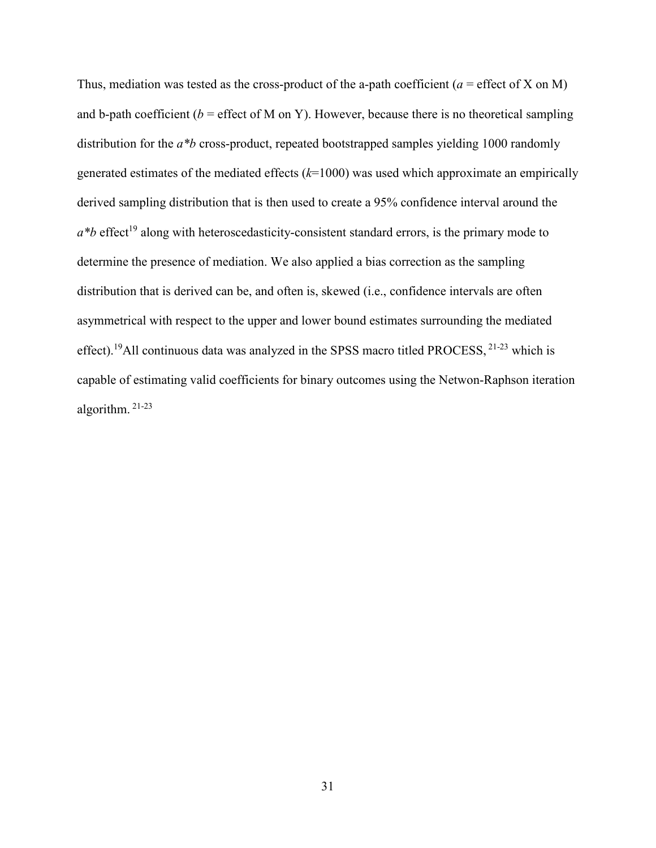Thus, mediation was tested as the cross-product of the a-path coefficient ( $a =$  effect of X on M) and b-path coefficient ( $b =$  effect of M on Y). However, because there is no theoretical sampling distribution for the *a<sup>\*b</sup>* cross-product, repeated bootstrapped samples yielding 1000 randomly generated estimates of the mediated effects (*k*=1000) was used which approximate an empirically derived sampling distribution that is then used to create a 95% confidence interval around the  $a^*b$  effect<sup>19</sup> along with heteroscedasticity-consistent standard errors, is the primary mode to determine the presence of mediation. We also applied a bias correction as the sampling distribution that is derived can be, and often is, skewed (i.e., confidence intervals are often asymmetrical with respect to the upper and lower bound estimates surrounding the mediated effect).<sup>19</sup>All continuous data was analyzed in the SPSS macro titled PROCESS, 21-23 which is capable of estimating valid coefficients for binary outcomes using the Netwon-Raphson iteration algorithm. 21-23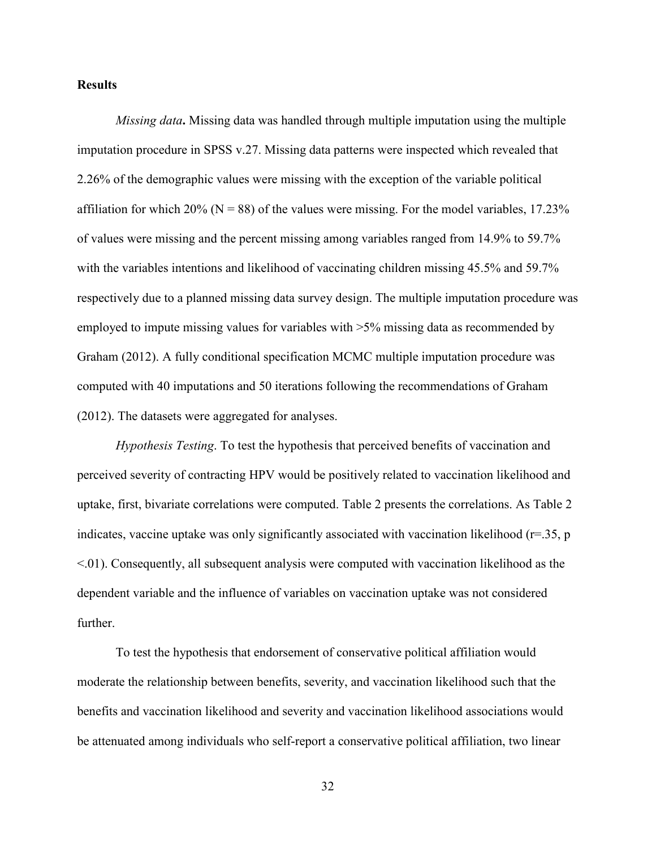#### **Results**

*Missing data***.** Missing data was handled through multiple imputation using the multiple imputation procedure in SPSS v.27. Missing data patterns were inspected which revealed that 2.26% of the demographic values were missing with the exception of the variable political affiliation for which 20% ( $N = 88$ ) of the values were missing. For the model variables, 17.23% of values were missing and the percent missing among variables ranged from 14.9% to 59.7% with the variables intentions and likelihood of vaccinating children missing 45.5% and 59.7% respectively due to a planned missing data survey design. The multiple imputation procedure was employed to impute missing values for variables with >5% missing data as recommended by Graham (2012). A fully conditional specification MCMC multiple imputation procedure was computed with 40 imputations and 50 iterations following the recommendations of Graham (2012). The datasets were aggregated for analyses.

*Hypothesis Testing*. To test the hypothesis that perceived benefits of vaccination and perceived severity of contracting HPV would be positively related to vaccination likelihood and uptake, first, bivariate correlations were computed. Table 2 presents the correlations. As Table 2 indicates, vaccine uptake was only significantly associated with vaccination likelihood ( $r=35$ , p <.01). Consequently, all subsequent analysis were computed with vaccination likelihood as the dependent variable and the influence of variables on vaccination uptake was not considered further.

To test the hypothesis that endorsement of conservative political affiliation would moderate the relationship between benefits, severity, and vaccination likelihood such that the benefits and vaccination likelihood and severity and vaccination likelihood associations would be attenuated among individuals who self-report a conservative political affiliation, two linear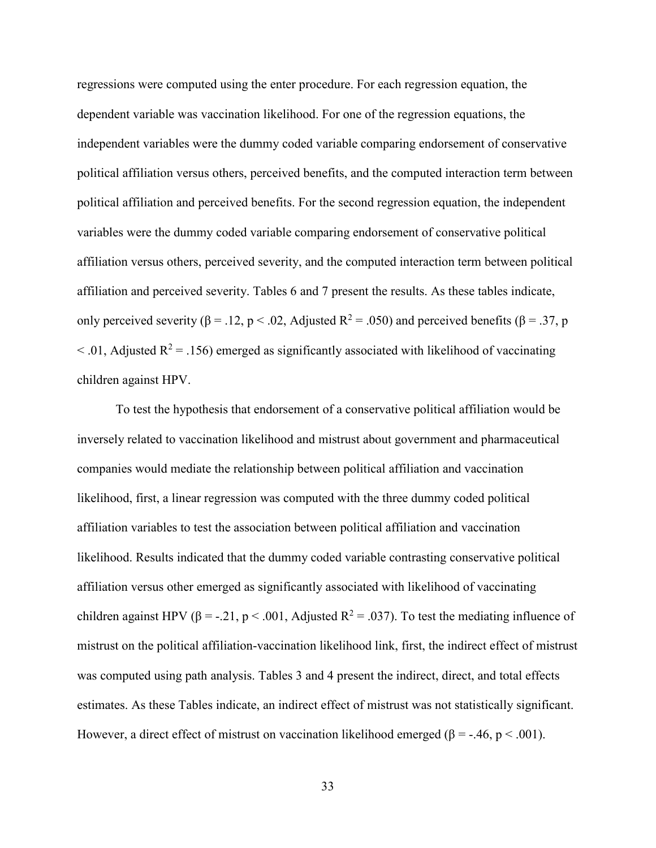regressions were computed using the enter procedure. For each regression equation, the dependent variable was vaccination likelihood. For one of the regression equations, the independent variables were the dummy coded variable comparing endorsement of conservative political affiliation versus others, perceived benefits, and the computed interaction term between political affiliation and perceived benefits. For the second regression equation, the independent variables were the dummy coded variable comparing endorsement of conservative political affiliation versus others, perceived severity, and the computed interaction term between political affiliation and perceived severity. Tables 6 and 7 present the results. As these tables indicate, only perceived severity (β = .12, p < .02, Adjusted R<sup>2</sup> = .050) and perceived benefits (β = .37, p  $<$  0.01, Adjusted R<sup>2</sup> = 0.156) emerged as significantly associated with likelihood of vaccinating children against HPV.

To test the hypothesis that endorsement of a conservative political affiliation would be inversely related to vaccination likelihood and mistrust about government and pharmaceutical companies would mediate the relationship between political affiliation and vaccination likelihood, first, a linear regression was computed with the three dummy coded political affiliation variables to test the association between political affiliation and vaccination likelihood. Results indicated that the dummy coded variable contrasting conservative political affiliation versus other emerged as significantly associated with likelihood of vaccinating children against HPV ( $\beta$  = -.21, p < .001, Adjusted R<sup>2</sup> = .037). To test the mediating influence of mistrust on the political affiliation-vaccination likelihood link, first, the indirect effect of mistrust was computed using path analysis. Tables 3 and 4 present the indirect, direct, and total effects estimates. As these Tables indicate, an indirect effect of mistrust was not statistically significant. However, a direct effect of mistrust on vaccination likelihood emerged ( $\beta$  = -.46, p < .001).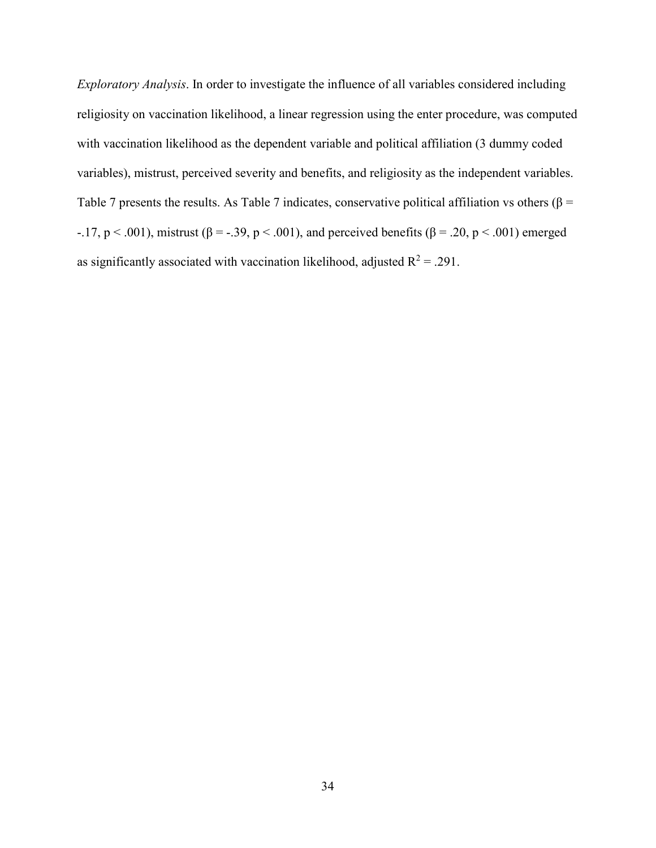*Exploratory Analysis*. In order to investigate the influence of all variables considered including religiosity on vaccination likelihood, a linear regression using the enter procedure, was computed with vaccination likelihood as the dependent variable and political affiliation (3 dummy coded variables), mistrust, perceived severity and benefits, and religiosity as the independent variables. Table 7 presents the results. As Table 7 indicates, conservative political affiliation vs others ( $\beta$  = -.17,  $p < .001$ ), mistrust ( $\beta = -.39$ ,  $p < .001$ ), and perceived benefits ( $\beta = .20$ ,  $p < .001$ ) emerged as significantly associated with vaccination likelihood, adjusted  $R^2 = .291$ .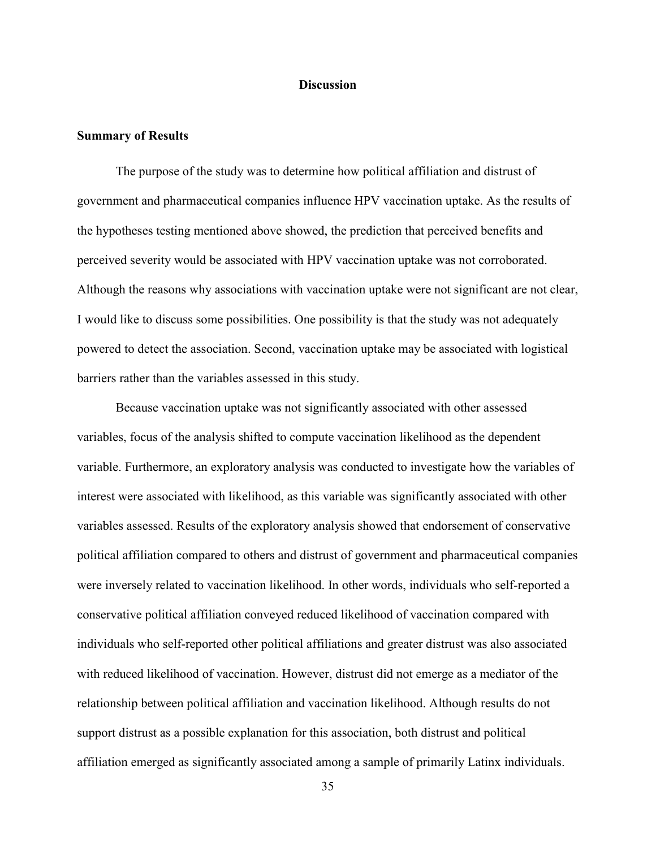#### **Discussion**

#### **Summary of Results**

The purpose of the study was to determine how political affiliation and distrust of government and pharmaceutical companies influence HPV vaccination uptake. As the results of the hypotheses testing mentioned above showed, the prediction that perceived benefits and perceived severity would be associated with HPV vaccination uptake was not corroborated. Although the reasons why associations with vaccination uptake were not significant are not clear, I would like to discuss some possibilities. One possibility is that the study was not adequately powered to detect the association. Second, vaccination uptake may be associated with logistical barriers rather than the variables assessed in this study.

Because vaccination uptake was not significantly associated with other assessed variables, focus of the analysis shifted to compute vaccination likelihood as the dependent variable. Furthermore, an exploratory analysis was conducted to investigate how the variables of interest were associated with likelihood, as this variable was significantly associated with other variables assessed. Results of the exploratory analysis showed that endorsement of conservative political affiliation compared to others and distrust of government and pharmaceutical companies were inversely related to vaccination likelihood. In other words, individuals who self-reported a conservative political affiliation conveyed reduced likelihood of vaccination compared with individuals who self-reported other political affiliations and greater distrust was also associated with reduced likelihood of vaccination. However, distrust did not emerge as a mediator of the relationship between political affiliation and vaccination likelihood. Although results do not support distrust as a possible explanation for this association, both distrust and political affiliation emerged as significantly associated among a sample of primarily Latinx individuals.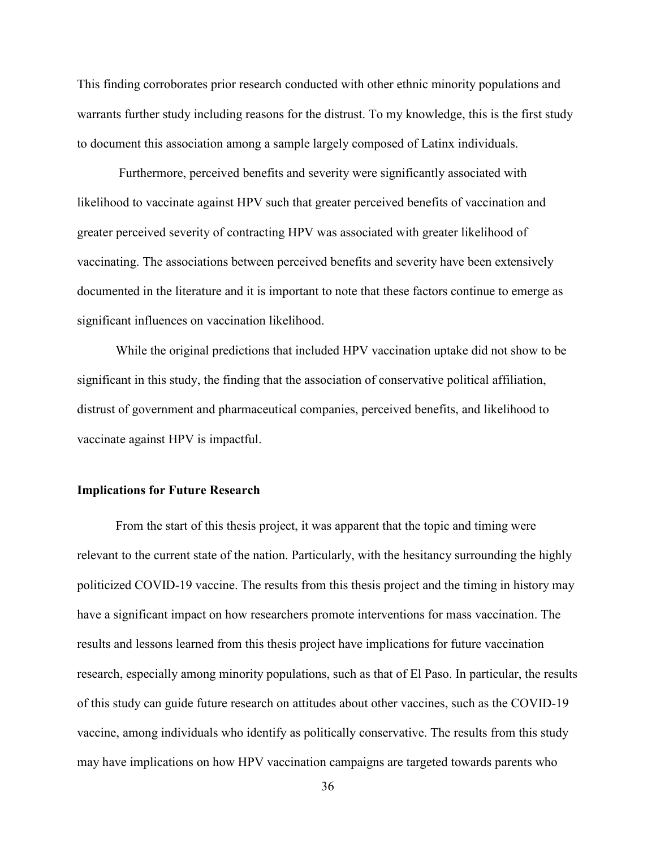This finding corroborates prior research conducted with other ethnic minority populations and warrants further study including reasons for the distrust. To my knowledge, this is the first study to document this association among a sample largely composed of Latinx individuals.

 Furthermore, perceived benefits and severity were significantly associated with likelihood to vaccinate against HPV such that greater perceived benefits of vaccination and greater perceived severity of contracting HPV was associated with greater likelihood of vaccinating. The associations between perceived benefits and severity have been extensively documented in the literature and it is important to note that these factors continue to emerge as significant influences on vaccination likelihood.

While the original predictions that included HPV vaccination uptake did not show to be significant in this study, the finding that the association of conservative political affiliation, distrust of government and pharmaceutical companies, perceived benefits, and likelihood to vaccinate against HPV is impactful.

# **Implications for Future Research**

From the start of this thesis project, it was apparent that the topic and timing were relevant to the current state of the nation. Particularly, with the hesitancy surrounding the highly politicized COVID-19 vaccine. The results from this thesis project and the timing in history may have a significant impact on how researchers promote interventions for mass vaccination. The results and lessons learned from this thesis project have implications for future vaccination research, especially among minority populations, such as that of El Paso. In particular, the results of this study can guide future research on attitudes about other vaccines, such as the COVID-19 vaccine, among individuals who identify as politically conservative. The results from this study may have implications on how HPV vaccination campaigns are targeted towards parents who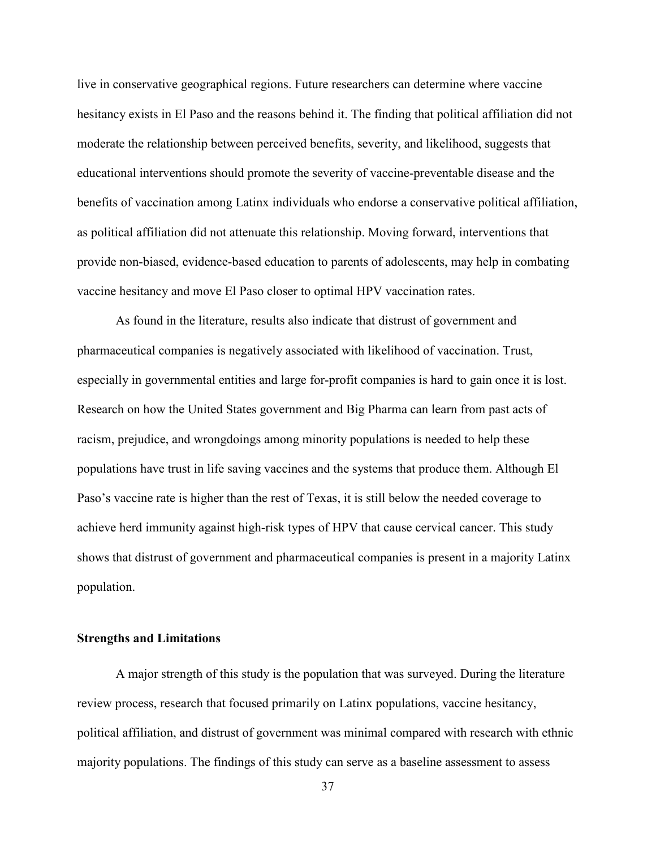live in conservative geographical regions. Future researchers can determine where vaccine hesitancy exists in El Paso and the reasons behind it. The finding that political affiliation did not moderate the relationship between perceived benefits, severity, and likelihood, suggests that educational interventions should promote the severity of vaccine-preventable disease and the benefits of vaccination among Latinx individuals who endorse a conservative political affiliation, as political affiliation did not attenuate this relationship. Moving forward, interventions that provide non-biased, evidence-based education to parents of adolescents, may help in combating vaccine hesitancy and move El Paso closer to optimal HPV vaccination rates.

 As found in the literature, results also indicate that distrust of government and pharmaceutical companies is negatively associated with likelihood of vaccination. Trust, especially in governmental entities and large for-profit companies is hard to gain once it is lost. Research on how the United States government and Big Pharma can learn from past acts of racism, prejudice, and wrongdoings among minority populations is needed to help these populations have trust in life saving vaccines and the systems that produce them. Although El Paso's vaccine rate is higher than the rest of Texas, it is still below the needed coverage to achieve herd immunity against high-risk types of HPV that cause cervical cancer. This study shows that distrust of government and pharmaceutical companies is present in a majority Latinx population.

# **Strengths and Limitations**

A major strength of this study is the population that was surveyed. During the literature review process, research that focused primarily on Latinx populations, vaccine hesitancy, political affiliation, and distrust of government was minimal compared with research with ethnic majority populations. The findings of this study can serve as a baseline assessment to assess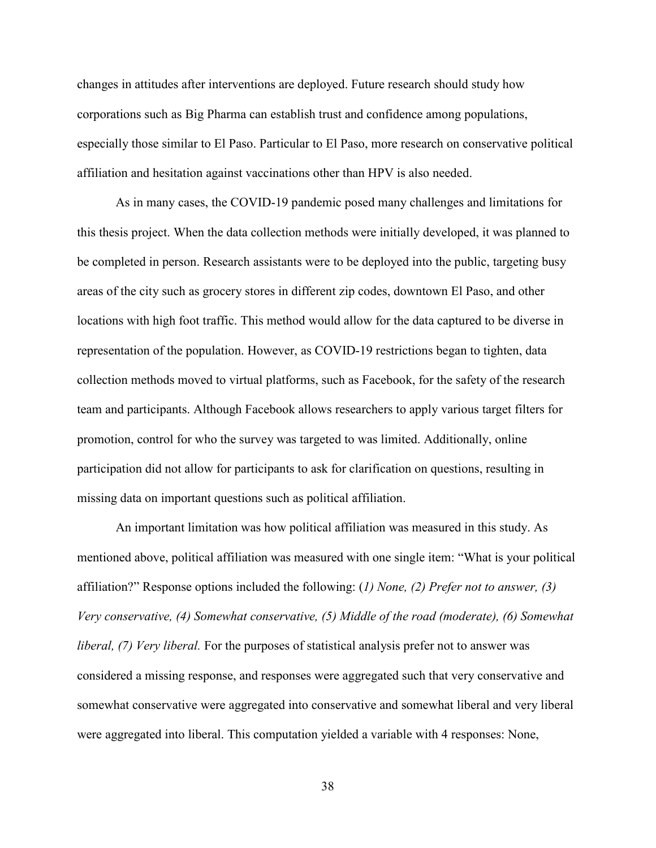changes in attitudes after interventions are deployed. Future research should study how corporations such as Big Pharma can establish trust and confidence among populations, especially those similar to El Paso. Particular to El Paso, more research on conservative political affiliation and hesitation against vaccinations other than HPV is also needed.

As in many cases, the COVID-19 pandemic posed many challenges and limitations for this thesis project. When the data collection methods were initially developed, it was planned to be completed in person. Research assistants were to be deployed into the public, targeting busy areas of the city such as grocery stores in different zip codes, downtown El Paso, and other locations with high foot traffic. This method would allow for the data captured to be diverse in representation of the population. However, as COVID-19 restrictions began to tighten, data collection methods moved to virtual platforms, such as Facebook, for the safety of the research team and participants. Although Facebook allows researchers to apply various target filters for promotion, control for who the survey was targeted to was limited. Additionally, online participation did not allow for participants to ask for clarification on questions, resulting in missing data on important questions such as political affiliation.

An important limitation was how political affiliation was measured in this study. As mentioned above, political affiliation was measured with one single item: "What is your political affiliation?" Response options included the following: (*1) None, (2) Prefer not to answer, (3) Very conservative, (4) Somewhat conservative, (5) Middle of the road (moderate), (6) Somewhat liberal, (7) Very liberal.* For the purposes of statistical analysis prefer not to answer was considered a missing response, and responses were aggregated such that very conservative and somewhat conservative were aggregated into conservative and somewhat liberal and very liberal were aggregated into liberal. This computation yielded a variable with 4 responses: None,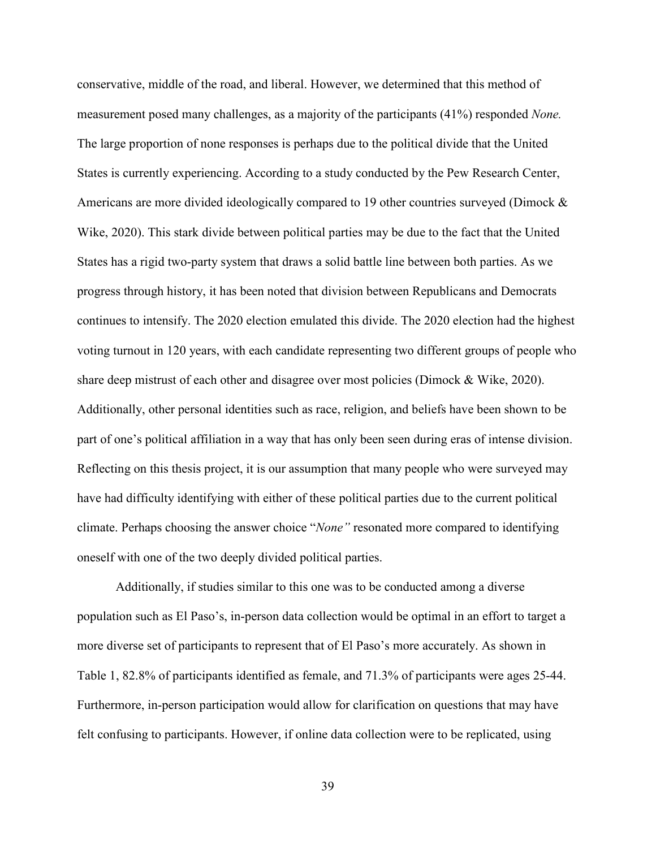conservative, middle of the road, and liberal. However, we determined that this method of measurement posed many challenges, as a majority of the participants (41%) responded *None.*  The large proportion of none responses is perhaps due to the political divide that the United States is currently experiencing. According to a study conducted by the Pew Research Center, Americans are more divided ideologically compared to 19 other countries surveyed (Dimock & Wike, 2020). This stark divide between political parties may be due to the fact that the United States has a rigid two-party system that draws a solid battle line between both parties. As we progress through history, it has been noted that division between Republicans and Democrats continues to intensify. The 2020 election emulated this divide. The 2020 election had the highest voting turnout in 120 years, with each candidate representing two different groups of people who share deep mistrust of each other and disagree over most policies (Dimock & Wike, 2020). Additionally, other personal identities such as race, religion, and beliefs have been shown to be part of one's political affiliation in a way that has only been seen during eras of intense division. Reflecting on this thesis project, it is our assumption that many people who were surveyed may have had difficulty identifying with either of these political parties due to the current political climate. Perhaps choosing the answer choice "*None"* resonated more compared to identifying oneself with one of the two deeply divided political parties.

 Additionally, if studies similar to this one was to be conducted among a diverse population such as El Paso's, in-person data collection would be optimal in an effort to target a more diverse set of participants to represent that of El Paso's more accurately. As shown in Table 1, 82.8% of participants identified as female, and 71.3% of participants were ages 25-44. Furthermore, in-person participation would allow for clarification on questions that may have felt confusing to participants. However, if online data collection were to be replicated, using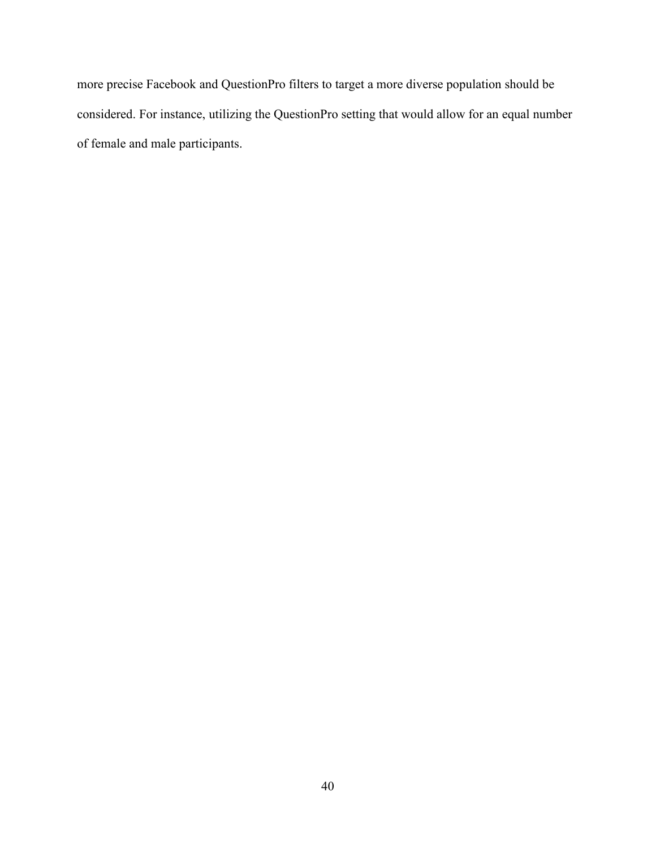more precise Facebook and QuestionPro filters to target a more diverse population should be considered. For instance, utilizing the QuestionPro setting that would allow for an equal number of female and male participants.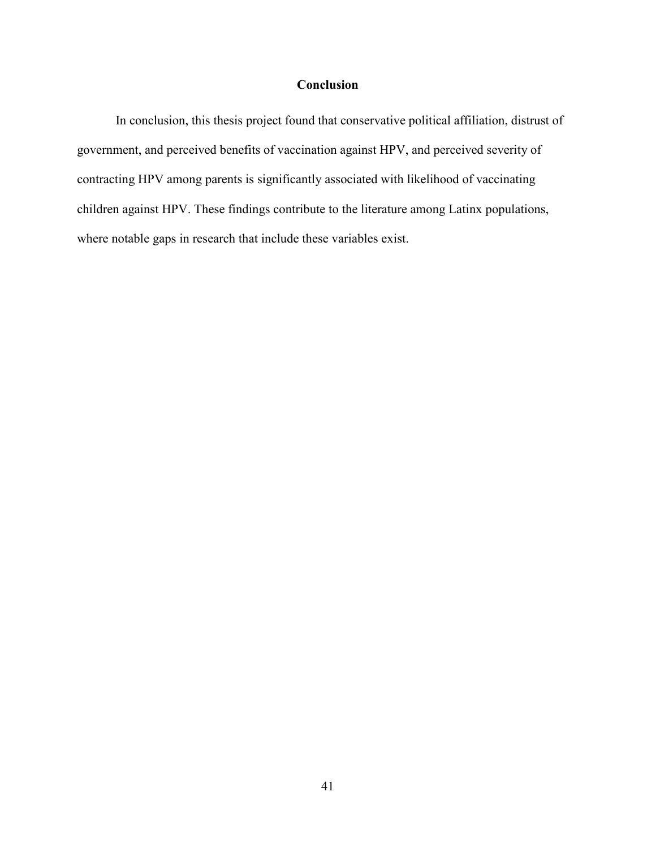# **Conclusion**

In conclusion, this thesis project found that conservative political affiliation, distrust of government, and perceived benefits of vaccination against HPV, and perceived severity of contracting HPV among parents is significantly associated with likelihood of vaccinating children against HPV. These findings contribute to the literature among Latinx populations, where notable gaps in research that include these variables exist.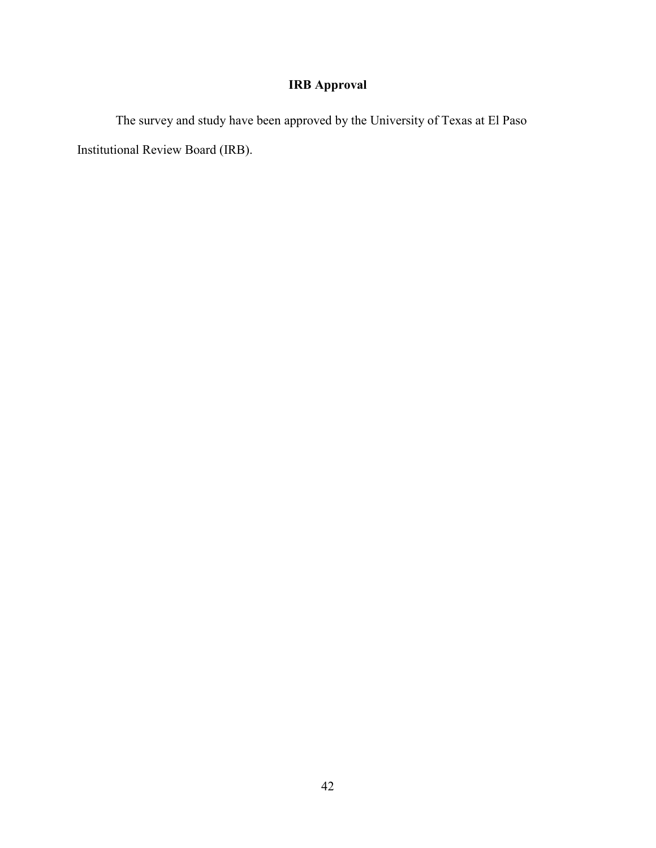# **IRB Approval**

The survey and study have been approved by the University of Texas at El Paso Institutional Review Board (IRB).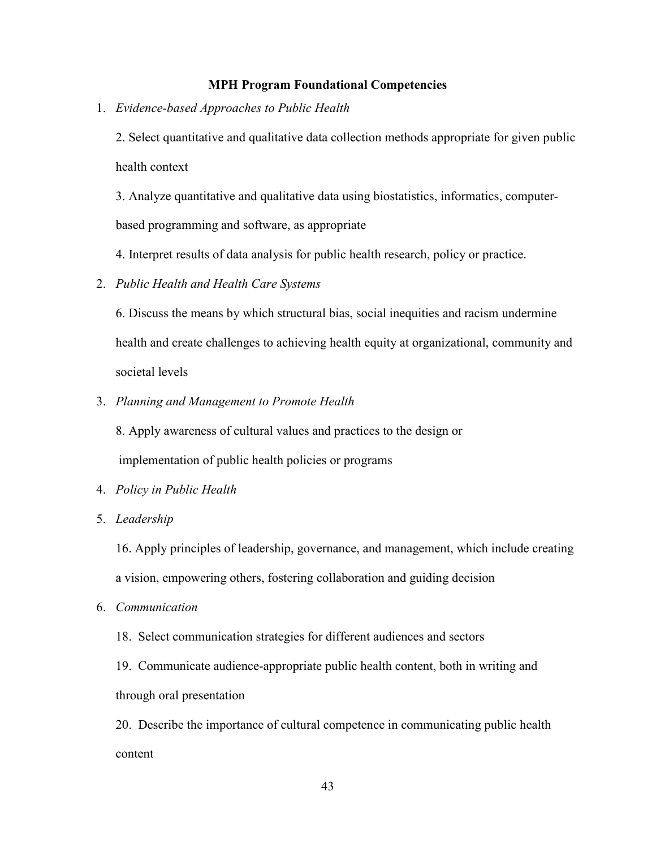# **MPH Program Foundational Competencies**

1. *Evidence-based Approaches to Public Health*

2. Select quantitative and qualitative data collection methods appropriate for given public health context

3. Analyze quantitative and qualitative data using biostatistics, informatics, computerbased programming and software, as appropriate

4. Interpret results of data analysis for public health research, policy or practice.

2. *Public Health and Health Care Systems*

6. Discuss the means by which structural bias, social inequities and racism undermine health and create challenges to achieving health equity at organizational, community and societal levels

3. *Planning and Management to Promote Health*

8. Apply awareness of cultural values and practices to the design or

implementation of public health policies or programs

- 4. *Policy in Public Health*
- 5. *Leadership*

16. Apply principles of leadership, governance, and management, which include creating a vision, empowering others, fostering collaboration and guiding decision

6. *Communication*

18. Select communication strategies for different audiences and sectors

19. Communicate audience-appropriate public health content, both in writing and through oral presentation

20. Describe the importance of cultural competence in communicating public health content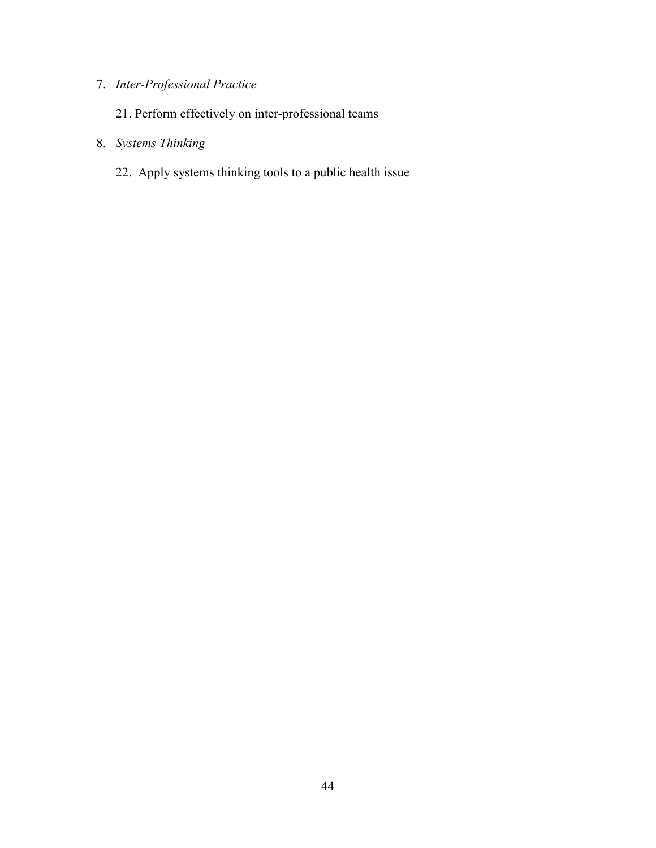# 7. *Inter-Professional Practice*

- 21. Perform effectively on inter-professional teams
- 8. *Systems Thinking*
	- 22. Apply systems thinking tools to a public health issue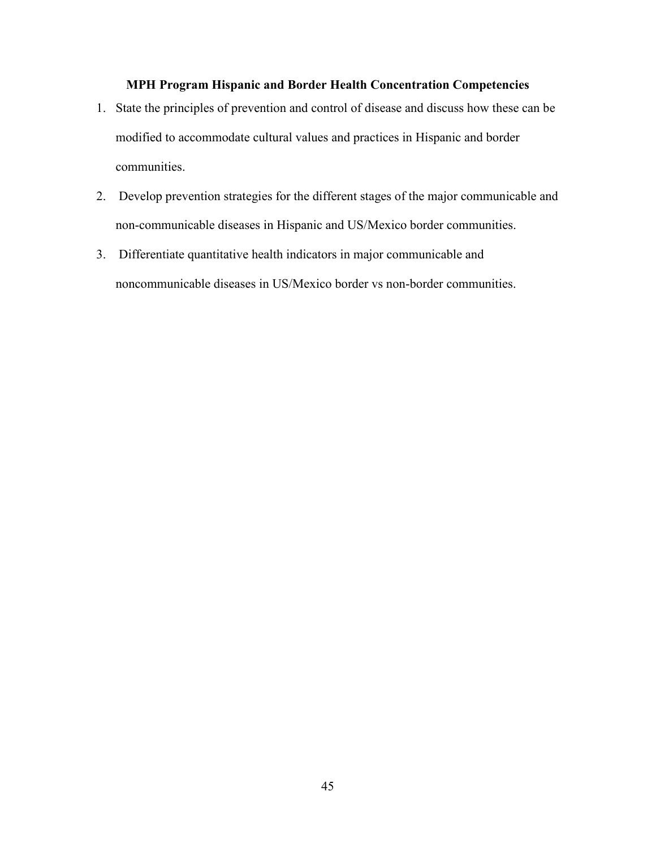# **MPH Program Hispanic and Border Health Concentration Competencies**

- 1. State the principles of prevention and control of disease and discuss how these can be modified to accommodate cultural values and practices in Hispanic and border communities.
- 2. Develop prevention strategies for the different stages of the major communicable and non-communicable diseases in Hispanic and US/Mexico border communities.
- 3. Differentiate quantitative health indicators in major communicable and noncommunicable diseases in US/Mexico border vs non-border communities.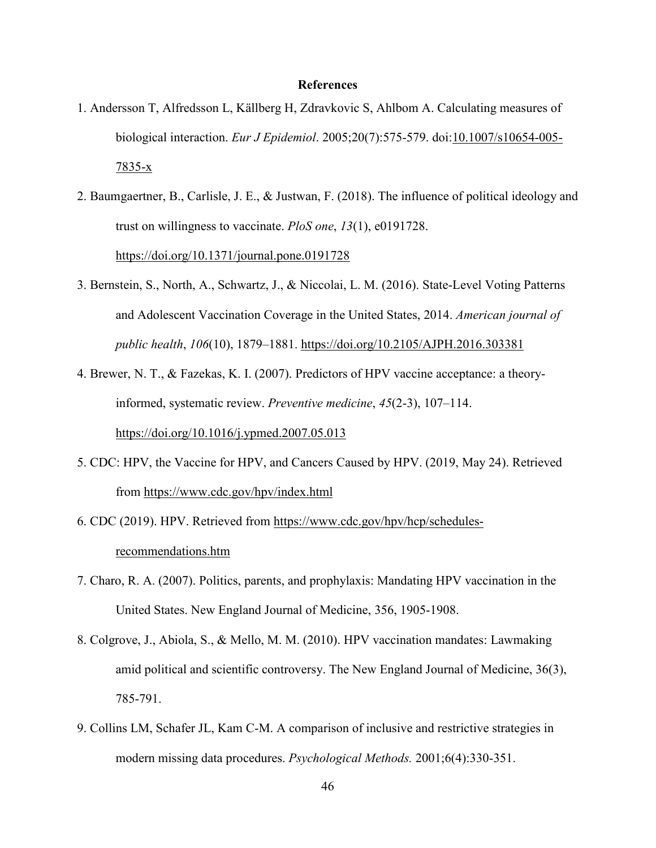#### **References**

- 1. Andersson T, Alfredsson L, Källberg H, Zdravkovic S, Ahlbom A. Calculating measures of biological interaction. *Eur J Epidemiol*. 2005;20(7):575-579. doi:10.1007/s10654-005- 7835-x
- 2. Baumgaertner, B., Carlisle, J. E., & Justwan, F. (2018). The influence of political ideology and trust on willingness to vaccinate. *PloS one*, *13*(1), e0191728. https://doi.org/10.1371/journal.pone.0191728
- 3. Bernstein, S., North, A., Schwartz, J., & Niccolai, L. M. (2016). State-Level Voting Patterns and Adolescent Vaccination Coverage in the United States, 2014. *American journal of public health*, *106*(10), 1879–1881. https://doi.org/10.2105/AJPH.2016.303381
- 4. Brewer, N. T., & Fazekas, K. I. (2007). Predictors of HPV vaccine acceptance: a theoryinformed, systematic review. *Preventive medicine*, *45*(2-3), 107–114. https://doi.org/10.1016/j.ypmed.2007.05.013
- 5. CDC: HPV, the Vaccine for HPV, and Cancers Caused by HPV. (2019, May 24). Retrieved from https://www.cdc.gov/hpv/index.html
- 6. CDC (2019). HPV. Retrieved from https://www.cdc.gov/hpv/hcp/schedulesrecommendations.htm
- 7. Charo, R. A. (2007). Politics, parents, and prophylaxis: Mandating HPV vaccination in the United States. New England Journal of Medicine, 356, 1905-1908.
- 8. Colgrove, J., Abiola, S., & Mello, M. M. (2010). HPV vaccination mandates: Lawmaking amid political and scientific controversy. The New England Journal of Medicine, 36(3), 785-791.
- 9. Collins LM, Schafer JL, Kam C-M. A comparison of inclusive and restrictive strategies in modern missing data procedures. *Psychological Methods.* 2001;6(4):330-351.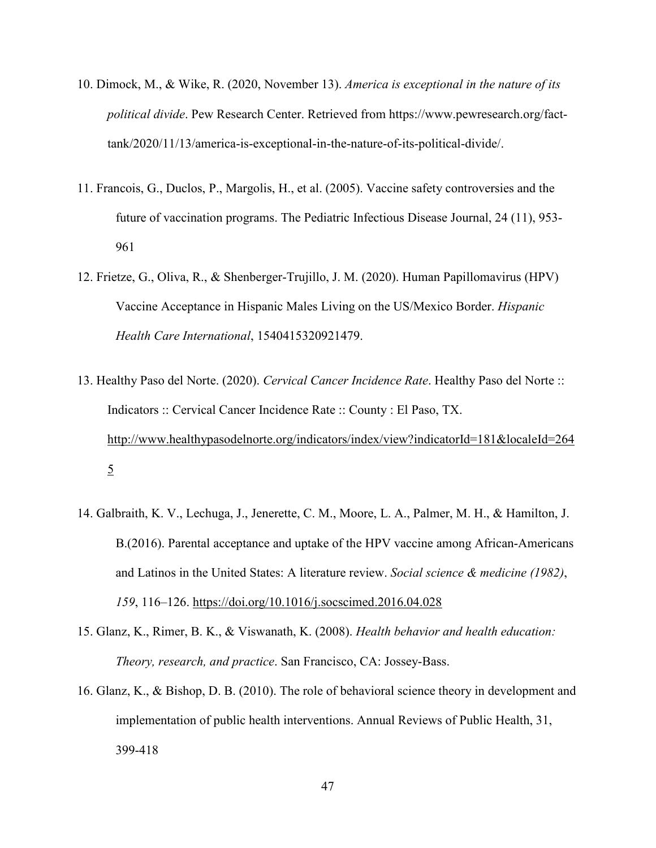- 10. Dimock, M., & Wike, R. (2020, November 13). *America is exceptional in the nature of its political divide*. Pew Research Center. Retrieved from https://www.pewresearch.org/facttank/2020/11/13/america-is-exceptional-in-the-nature-of-its-political-divide/.
- 11. Francois, G., Duclos, P., Margolis, H., et al. (2005). Vaccine safety controversies and the future of vaccination programs. The Pediatric Infectious Disease Journal, 24 (11), 953- 961
- 12. Frietze, G., Oliva, R., & Shenberger-Trujillo, J. M. (2020). Human Papillomavirus (HPV) Vaccine Acceptance in Hispanic Males Living on the US/Mexico Border. *Hispanic Health Care International*, 1540415320921479.
- 13. Healthy Paso del Norte. (2020). *Cervical Cancer Incidence Rate*. Healthy Paso del Norte :: Indicators :: Cervical Cancer Incidence Rate :: County : El Paso, TX. http://www.healthypasodelnorte.org/indicators/index/view?indicatorId=181&localeId=264 5
- 14. Galbraith, K. V., Lechuga, J., Jenerette, C. M., Moore, L. A., Palmer, M. H., & Hamilton, J. B.(2016). Parental acceptance and uptake of the HPV vaccine among African-Americans and Latinos in the United States: A literature review. *Social science & medicine (1982)*, *159*, 116–126. https://doi.org/10.1016/j.socscimed.2016.04.028
- 15. Glanz, K., Rimer, B. K., & Viswanath, K. (2008). *Health behavior and health education: Theory, research, and practice*. San Francisco, CA: Jossey-Bass.
- 16. Glanz, K., & Bishop, D. B. (2010). The role of behavioral science theory in development and implementation of public health interventions. Annual Reviews of Public Health, 31, 399-418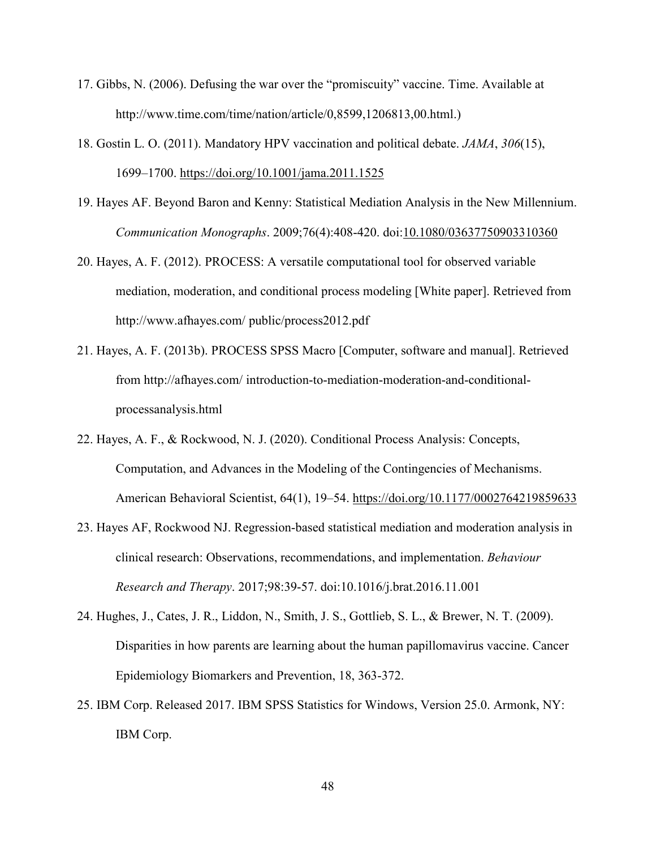- 17. Gibbs, N. (2006). Defusing the war over the "promiscuity" vaccine. Time. Available at http://www.time.com/time/nation/article/0,8599,1206813,00.html.)
- 18. Gostin L. O. (2011). Mandatory HPV vaccination and political debate. *JAMA*, *306*(15), 1699–1700. https://doi.org/10.1001/jama.2011.1525
- 19. Hayes AF. Beyond Baron and Kenny: Statistical Mediation Analysis in the New Millennium. *Communication Monographs*. 2009;76(4):408-420. doi:10.1080/03637750903310360
- 20. Hayes, A. F. (2012). PROCESS: A versatile computational tool for observed variable mediation, moderation, and conditional process modeling [White paper]. Retrieved from http://www.afhayes.com/ public/process2012.pdf
- 21. Hayes, A. F. (2013b). PROCESS SPSS Macro [Computer, software and manual]. Retrieved from http://afhayes.com/ introduction-to-mediation-moderation-and-conditionalprocessanalysis.html
- 22. Hayes, A. F., & Rockwood, N. J. (2020). Conditional Process Analysis: Concepts, Computation, and Advances in the Modeling of the Contingencies of Mechanisms. American Behavioral Scientist, 64(1), 19–54. https://doi.org/10.1177/0002764219859633
- 23. Hayes AF, Rockwood NJ. Regression-based statistical mediation and moderation analysis in clinical research: Observations, recommendations, and implementation. *Behaviour Research and Therapy*. 2017;98:39-57. doi:10.1016/j.brat.2016.11.001
- 24. Hughes, J., Cates, J. R., Liddon, N., Smith, J. S., Gottlieb, S. L., & Brewer, N. T. (2009). Disparities in how parents are learning about the human papillomavirus vaccine. Cancer Epidemiology Biomarkers and Prevention, 18, 363-372.
- 25. IBM Corp. Released 2017. IBM SPSS Statistics for Windows, Version 25.0. Armonk, NY: IBM Corp.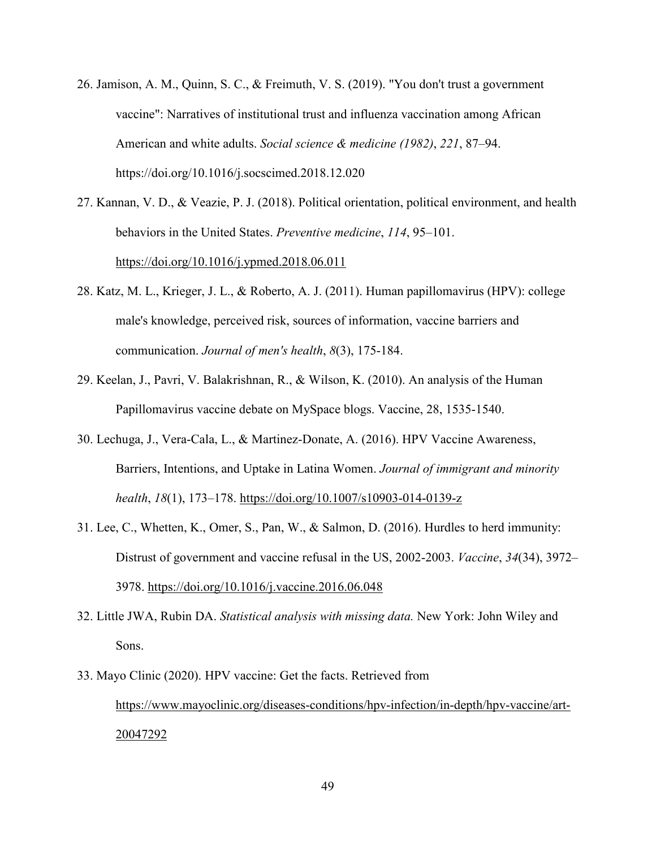- 26. Jamison, A. M., Quinn, S. C., & Freimuth, V. S. (2019). "You don't trust a government vaccine": Narratives of institutional trust and influenza vaccination among African American and white adults. *Social science & medicine (1982)*, *221*, 87–94. https://doi.org/10.1016/j.socscimed.2018.12.020
- 27. Kannan, V. D., & Veazie, P. J. (2018). Political orientation, political environment, and health behaviors in the United States. *Preventive medicine*, *114*, 95–101. https://doi.org/10.1016/j.ypmed.2018.06.011
- 28. Katz, M. L., Krieger, J. L., & Roberto, A. J. (2011). Human papillomavirus (HPV): college male's knowledge, perceived risk, sources of information, vaccine barriers and communication. *Journal of men's health*, *8*(3), 175-184.
- 29. Keelan, J., Pavri, V. Balakrishnan, R., & Wilson, K. (2010). An analysis of the Human Papillomavirus vaccine debate on MySpace blogs. Vaccine, 28, 1535-1540.
- 30. Lechuga, J., Vera-Cala, L., & Martinez-Donate, A. (2016). HPV Vaccine Awareness, Barriers, Intentions, and Uptake in Latina Women. *Journal of immigrant and minority health*, *18*(1), 173–178. https://doi.org/10.1007/s10903-014-0139-z
- 31. Lee, C., Whetten, K., Omer, S., Pan, W., & Salmon, D. (2016). Hurdles to herd immunity: Distrust of government and vaccine refusal in the US, 2002-2003. *Vaccine*, *34*(34), 3972– 3978. https://doi.org/10.1016/j.vaccine.2016.06.048
- 32. Little JWA, Rubin DA. *Statistical analysis with missing data.* New York: John Wiley and Sons.
- 33. Mayo Clinic (2020). HPV vaccine: Get the facts. Retrieved from https://www.mayoclinic.org/diseases-conditions/hpv-infection/in-depth/hpv-vaccine/art-20047292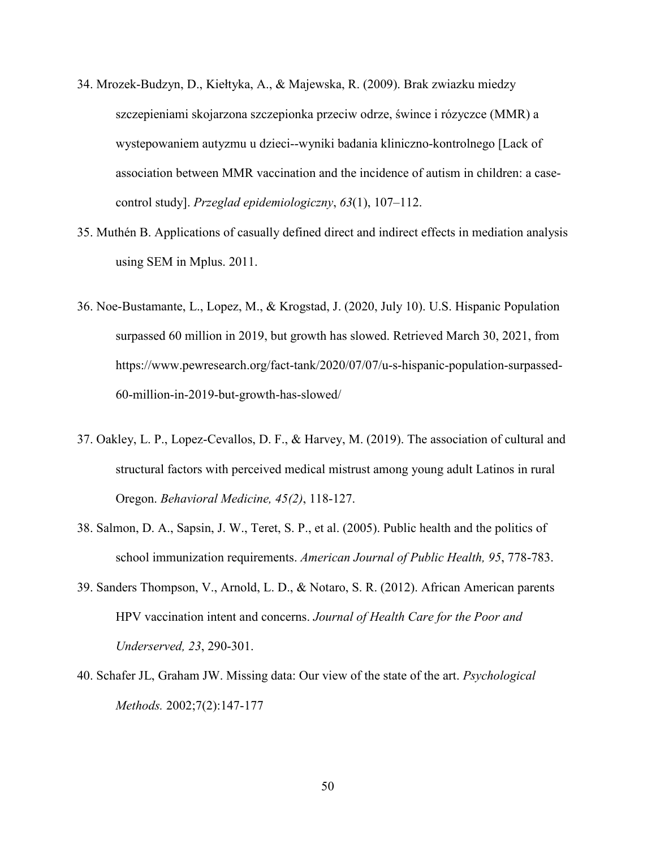- 34. Mrozek-Budzyn, D., Kiełtyka, A., & Majewska, R. (2009). Brak zwiazku miedzy szczepieniami skojarzona szczepionka przeciw odrze, śwince i rózyczce (MMR) a wystepowaniem autyzmu u dzieci--wyniki badania kliniczno-kontrolnego [Lack of association between MMR vaccination and the incidence of autism in children: a casecontrol study]. *Przeglad epidemiologiczny*, *63*(1), 107–112.
- 35. Muthén B. Applications of casually defined direct and indirect effects in mediation analysis using SEM in Mplus. 2011.
- 36. Noe-Bustamante, L., Lopez, M., & Krogstad, J. (2020, July 10). U.S. Hispanic Population surpassed 60 million in 2019, but growth has slowed. Retrieved March 30, 2021, from https://www.pewresearch.org/fact-tank/2020/07/07/u-s-hispanic-population-surpassed-60-million-in-2019-but-growth-has-slowed/
- 37. Oakley, L. P., Lopez-Cevallos, D. F., & Harvey, M. (2019). The association of cultural and structural factors with perceived medical mistrust among young adult Latinos in rural Oregon. *Behavioral Medicine, 45(2)*, 118-127.
- 38. Salmon, D. A., Sapsin, J. W., Teret, S. P., et al. (2005). Public health and the politics of school immunization requirements. *American Journal of Public Health, 95*, 778-783.
- 39. Sanders Thompson, V., Arnold, L. D., & Notaro, S. R. (2012). African American parents HPV vaccination intent and concerns. *Journal of Health Care for the Poor and Underserved, 23*, 290-301.
- 40. Schafer JL, Graham JW. Missing data: Our view of the state of the art. *Psychological Methods.* 2002;7(2):147-177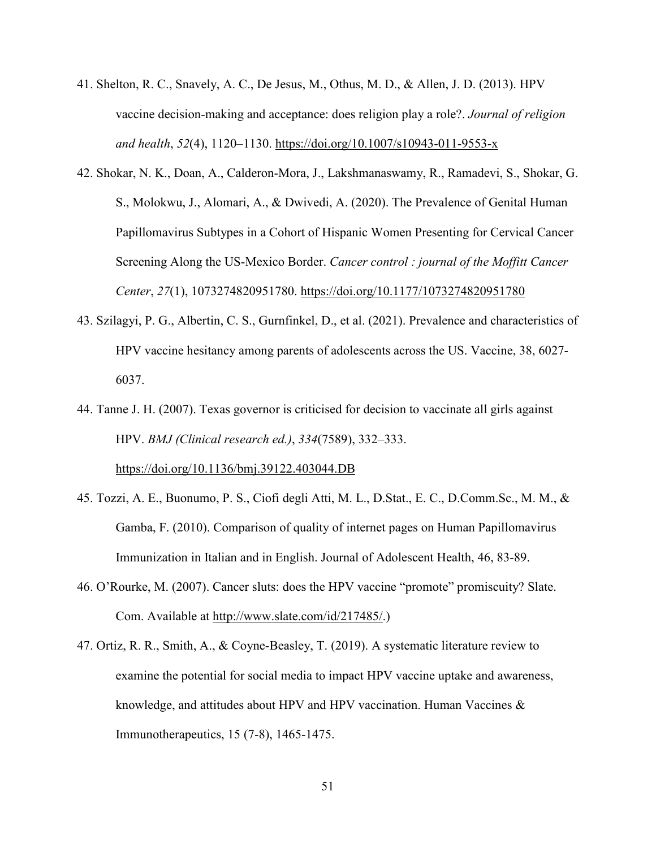- 41. Shelton, R. C., Snavely, A. C., De Jesus, M., Othus, M. D., & Allen, J. D. (2013). HPV vaccine decision-making and acceptance: does religion play a role?. *Journal of religion and health*, *52*(4), 1120–1130. https://doi.org/10.1007/s10943-011-9553-x
- 42. Shokar, N. K., Doan, A., Calderon-Mora, J., Lakshmanaswamy, R., Ramadevi, S., Shokar, G. S., Molokwu, J., Alomari, A., & Dwivedi, A. (2020). The Prevalence of Genital Human Papillomavirus Subtypes in a Cohort of Hispanic Women Presenting for Cervical Cancer Screening Along the US-Mexico Border. *Cancer control : journal of the Moffitt Cancer Center*, *27*(1), 1073274820951780. https://doi.org/10.1177/1073274820951780
- 43. Szilagyi, P. G., Albertin, C. S., Gurnfinkel, D., et al. (2021). Prevalence and characteristics of HPV vaccine hesitancy among parents of adolescents across the US. Vaccine, 38, 6027- 6037.
- 44. Tanne J. H. (2007). Texas governor is criticised for decision to vaccinate all girls against HPV. *BMJ (Clinical research ed.)*, *334*(7589), 332–333.

https://doi.org/10.1136/bmj.39122.403044.DB

- 45. Tozzi, A. E., Buonumo, P. S., Ciofi degli Atti, M. L., D.Stat., E. C., D.Comm.Sc., M. M., & Gamba, F. (2010). Comparison of quality of internet pages on Human Papillomavirus Immunization in Italian and in English. Journal of Adolescent Health, 46, 83-89.
- 46. O'Rourke, M. (2007). Cancer sluts: does the HPV vaccine "promote" promiscuity? Slate. Com. Available at http://www.slate.com/id/217485/.)
- 47. Ortiz, R. R., Smith, A., & Coyne-Beasley, T. (2019). A systematic literature review to examine the potential for social media to impact HPV vaccine uptake and awareness, knowledge, and attitudes about HPV and HPV vaccination. Human Vaccines & Immunotherapeutics, 15 (7-8), 1465-1475.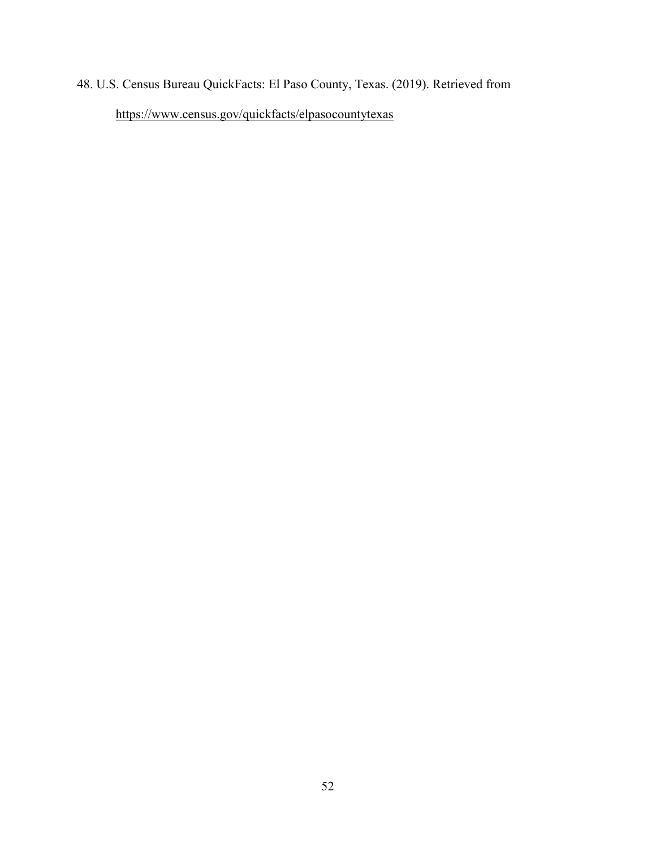# 48. U.S. Census Bureau QuickFacts: El Paso County, Texas. (2019). Retrieved from https://www.census.gov/quickfacts/elpasocountytexas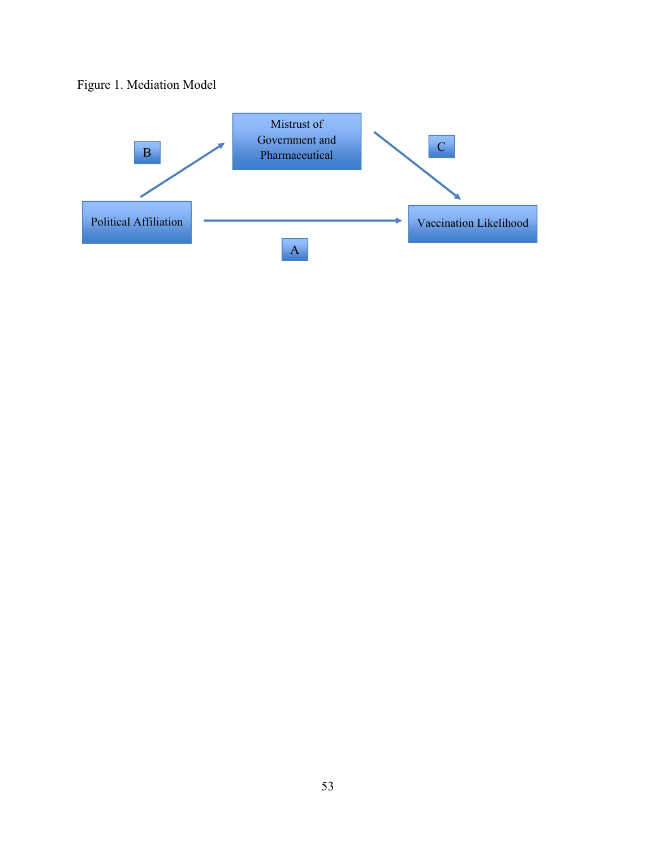

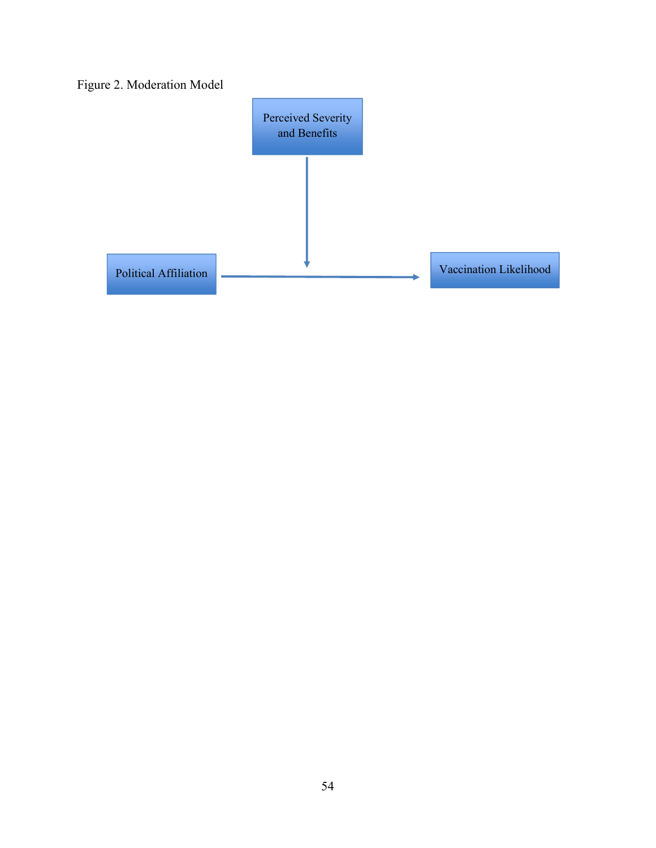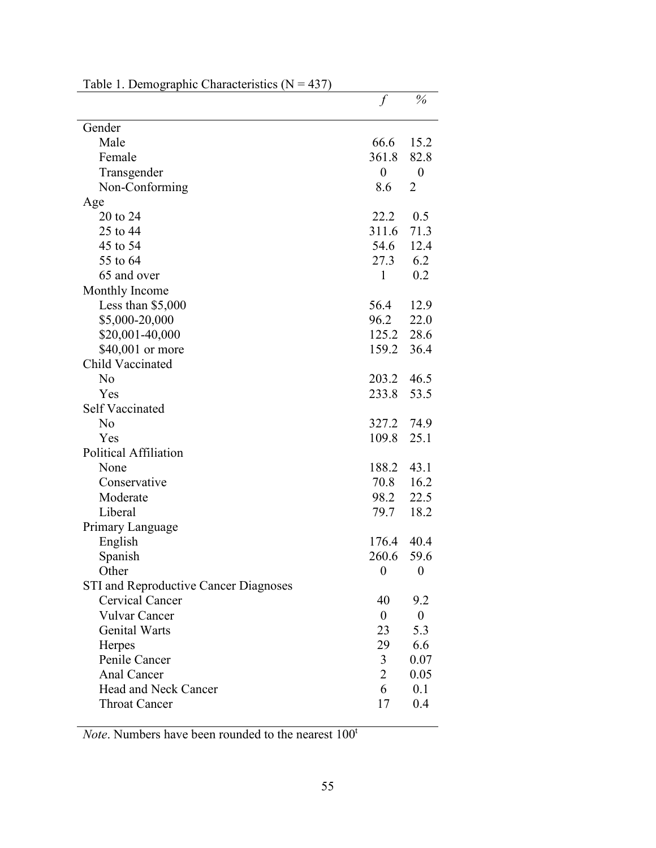|                                              | $\int$           | $\%$             |
|----------------------------------------------|------------------|------------------|
| Gender                                       |                  |                  |
| Male                                         | 66.6             | 15.2             |
| Female                                       | 361.8            | 82.8             |
| Transgender                                  | $\boldsymbol{0}$ | $\boldsymbol{0}$ |
| Non-Conforming                               | 8.6              | $\overline{2}$   |
| Age                                          |                  |                  |
| 20 to 24                                     | 22.2             | 0.5              |
| 25 to 44                                     | 311.6            | 71.3             |
| 45 to 54                                     | 54.6             | 12.4             |
| 55 to 64                                     | 27.3             | 6.2              |
| 65 and over                                  | 1                | 0.2              |
| Monthly Income                               |                  |                  |
| Less than \$5,000                            | 56.4             | 12.9             |
| \$5,000-20,000                               | 96.2             | 22.0             |
| \$20,001-40,000                              | 125.2            | 28.6             |
| \$40,001 or more                             | 159.2            | 36.4             |
| Child Vaccinated                             |                  |                  |
| No                                           | 203.2            | 46.5             |
| Yes                                          | 233.8            | 53.5             |
| <b>Self Vaccinated</b>                       |                  |                  |
| N <sub>0</sub>                               | 327.2            | 74.9             |
| Yes                                          | 109.8            | 25.1             |
| Political Affiliation                        |                  |                  |
| None                                         | 188.2            | 43.1             |
| Conservative                                 | 70.8             | 16.2             |
| Moderate                                     | 98.2             | 22.5             |
| Liberal                                      | 79.7             | 18.2             |
| Primary Language                             |                  |                  |
| English                                      | 176.4            | 40.4             |
| Spanish                                      | 260.6            | 59.6             |
| Other                                        | $\boldsymbol{0}$ | $\boldsymbol{0}$ |
| <b>STI</b> and Reproductive Cancer Diagnoses |                  |                  |
| Cervical Cancer                              | 40               | 9.2              |
| Vulvar Cancer                                | $\boldsymbol{0}$ | $\overline{0}$   |
| <b>Genital Warts</b>                         | 23               | 5.3              |
| Herpes                                       | 29               | 6.6              |
| Penile Cancer                                | 3                | 0.07             |
| Anal Cancer                                  | $\overline{2}$   | 0.05             |
| Head and Neck Cancer                         | 6                | 0.1              |
| <b>Throat Cancer</b>                         | 17               | 0.4              |

Table 1. Demographic Characteristics  $(N = 437)$ 

*Note*. Numbers have been rounded to the nearest  $100^t$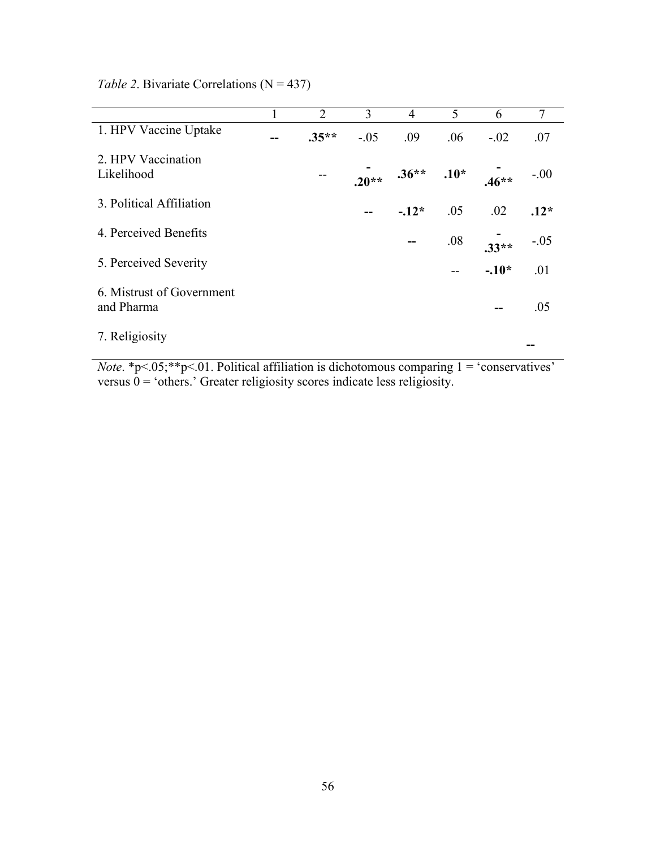|                                         | $\mathbf{I}$ | 2       | 3       | $\overline{4}$ | 5   | 6       | $7\overline{ }$ |
|-----------------------------------------|--------------|---------|---------|----------------|-----|---------|-----------------|
| 1. HPV Vaccine Uptake                   | --           | $.35**$ | $-.05$  | .09            | .06 | $-.02$  | .07             |
| 2. HPV Vaccination                      |              |         |         |                |     |         |                 |
| Likelihood                              |              | $- -$   | $.20**$ | $.36**$ .10*   |     | $.46**$ | $-.00$          |
| 3. Political Affiliation                |              |         |         | $-.12*$        | .05 | .02     | $.12*$          |
| 4. Perceived Benefits                   |              |         |         | --             | .08 | $.33**$ | $-.05$          |
| 5. Perceived Severity                   |              |         |         |                |     | $-.10*$ | .01             |
| 6. Mistrust of Government<br>and Pharma |              |         |         |                |     |         | .05             |
| 7. Religiosity                          |              |         |         |                |     |         |                 |

*Table 2.* Bivariate Correlations  $(N = 437)$ 

*Note*. \*p<.05;\*\*p<.01. Political affiliation is dichotomous comparing 1 = 'conservatives' versus  $0 = 'others.'$  Greater religiosity scores indicate less religiosity.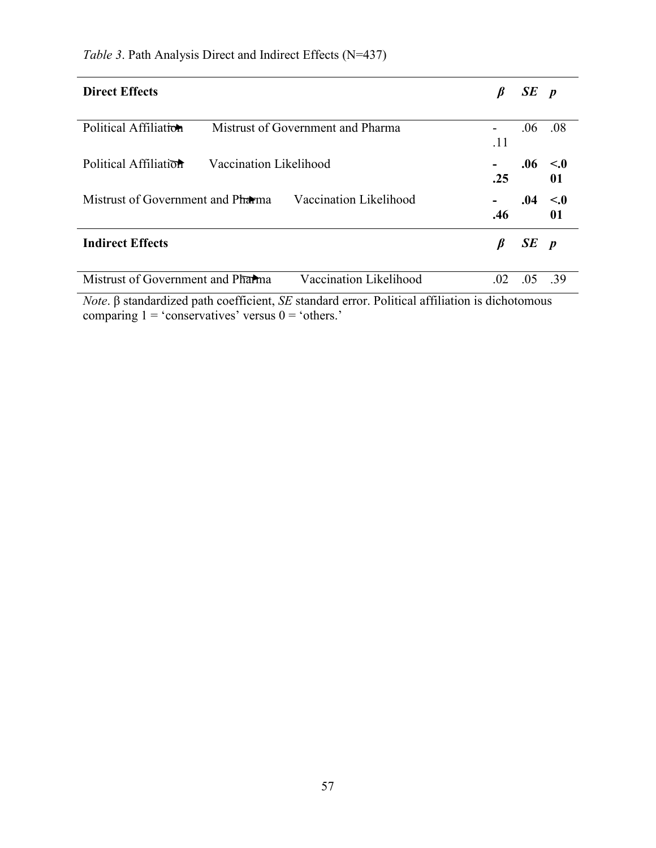| <b>Direct Effects</b>                                       |     | $SE$ p |                    |
|-------------------------------------------------------------|-----|--------|--------------------|
| Political Affiliation<br>Mistrust of Government and Pharma  | .11 | .06    | .08                |
| Political Affiliation<br>Vaccination Likelihood             | .25 |        | $.06 \sim 0$<br>01 |
| Mistrust of Government and Pharma<br>Vaccination Likelihood | .46 | .04    | $\leq 0$<br>01     |
| <b>Indirect Effects</b>                                     | B   | $SE$ p |                    |
| Vaccination Likelihood<br>Mistrust of Government and Pharma | 02  | -05    | -39                |

*Table 3*. Path Analysis Direct and Indirect Effects (N=437)

*Note*. β standardized path coefficient, *SE* standard error. Political affiliation is dichotomous comparing  $1 = 'conservative'$  versus  $0 = 'others.'$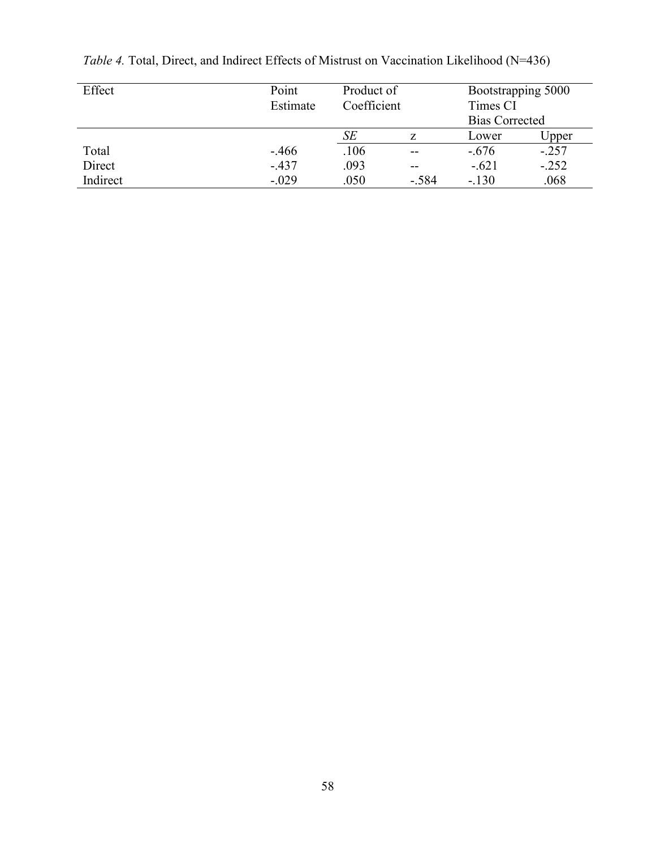| Effect   | Point<br>Estimate | Product of<br>Coefficient |         | Bootstrapping 5000<br>Times CI |         |
|----------|-------------------|---------------------------|---------|--------------------------------|---------|
|          |                   |                           |         | <b>Bias Corrected</b>          |         |
|          |                   | SE                        | Z       | Lower                          | Upper   |
| Total    | $-466$            | .106                      | $- -$   | $-.676$                        | $-.257$ |
| Direct   | $-437$            | .093                      | $- -$   | $-.621$                        | $-.252$ |
| Indirect | $-.029$           | .050                      | $-.584$ | $-.130$                        | .068    |

*Table 4.* Total, Direct, and Indirect Effects of Mistrust on Vaccination Likelihood (N=436)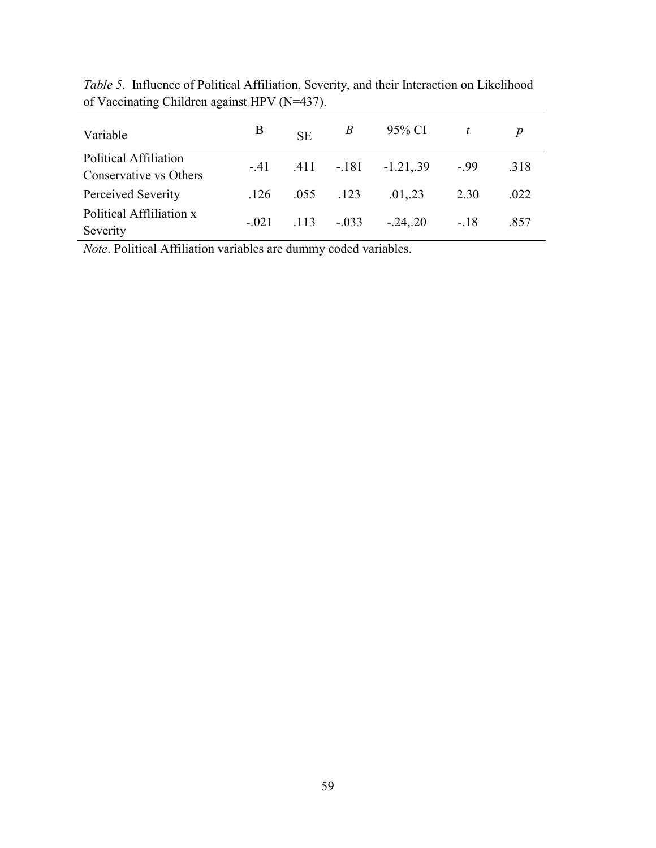| Variable                                        | B | <b>SE</b>            | $\mathcal{B}$ | 95% CI                             | $\frac{1}{t}$ |      |
|-------------------------------------------------|---|----------------------|---------------|------------------------------------|---------------|------|
| Political Affiliation<br>Conservative vs Others |   |                      |               | $-.41$ $.411$ $-.181$ $-1.21$ , 39 | $-99$         | .318 |
| Perceived Severity                              |   | $.126$ $.055$ $.123$ |               | .01, .23                           | 2.30          | .022 |
| Political Affliliation x<br>Severity            |   |                      |               | $-.021$ $.113$ $-.033$ $-.24, .20$ | $-.18$        | .857 |

*Table 5*. Influence of Political Affiliation, Severity, and their Interaction on Likelihood of Vaccinating Children against HPV (N=437).

*Note*. Political Affiliation variables are dummy coded variables.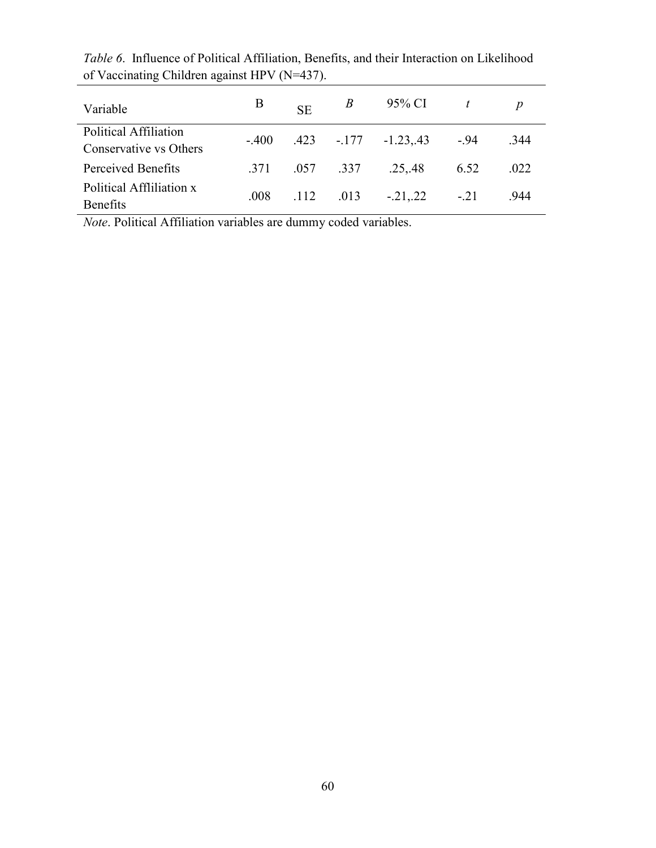| Variable                                        | B    | <b>SE</b> | $\boldsymbol{B}$ | 95% CI                                | $\frac{t}{t}$ |      |
|-------------------------------------------------|------|-----------|------------------|---------------------------------------|---------------|------|
| Political Affiliation<br>Conservative vs Others |      |           |                  | $-0.400$ $.423$ $-0.177$ $-0.23$ , 43 | $-94$         | .344 |
| Perceived Benefits                              | .371 |           | .057 .337        | .25, .48                              | 6.52          | .022 |
| Political Affliliation x<br><b>Benefits</b>     | .008 | .112      | .013             | $-.21, .22$                           | $-.21$        | 944  |

*Table 6*. Influence of Political Affiliation, Benefits, and their Interaction on Likelihood of Vaccinating Children against HPV (N=437).

*Note*. Political Affiliation variables are dummy coded variables.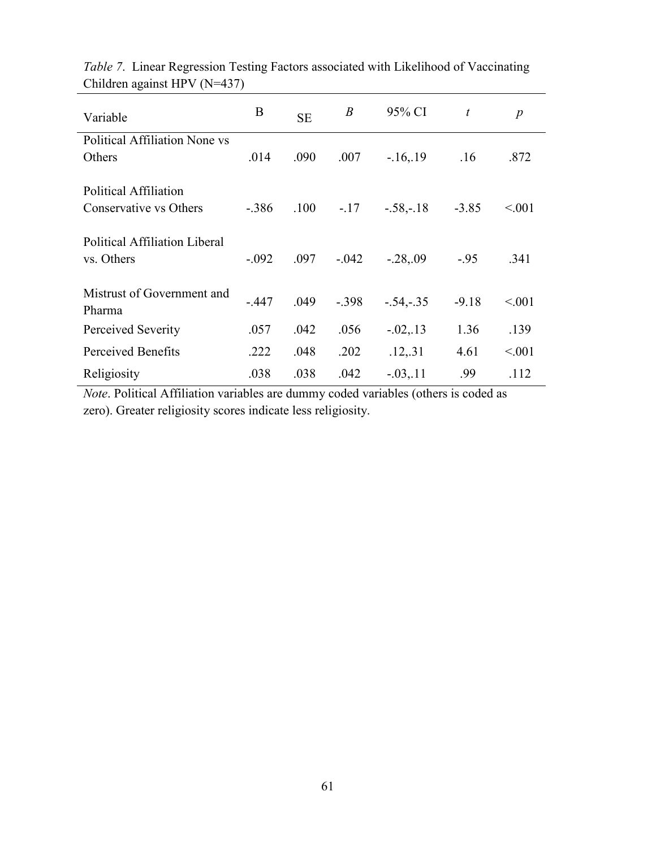| Variable                                        | B       | <b>SE</b> | $\boldsymbol{B}$ | 95% CI      | $\boldsymbol{t}$ | $\boldsymbol{p}$ |
|-------------------------------------------------|---------|-----------|------------------|-------------|------------------|------------------|
| <b>Political Affiliation None vs</b>            |         |           |                  |             |                  |                  |
| Others                                          | .014    | .090      | .007             | $-16,19$    | .16              | .872             |
| Political Affiliation<br>Conservative vs Others | $-.386$ | .100      | $-17$            | $-.58,-.18$ | $-3.85$          | < 0.01           |
| Political Affiliation Liberal<br>vs. Others     | $-.092$ | .097      | $-.042$          | $-.28, .09$ | $-95$            | .341             |
| Mistrust of Government and<br>Pharma            | $-.447$ | .049      | $-.398$          | $-.54,-.35$ | $-9.18$          | < 0.01           |
| Perceived Severity                              | .057    | .042      | .056             | $-.02, .13$ | 1.36             | .139             |
| Perceived Benefits                              | .222    | .048      | .202             | .12, .31    | 4.61             | < 0.01           |
| Religiosity                                     | .038    | .038      | .042             | $-.03, .11$ | .99              | .112             |

*Table 7*. Linear Regression Testing Factors associated with Likelihood of Vaccinating Children against HPV (N=437)

*Note*. Political Affiliation variables are dummy coded variables (others is coded as zero). Greater religiosity scores indicate less religiosity.